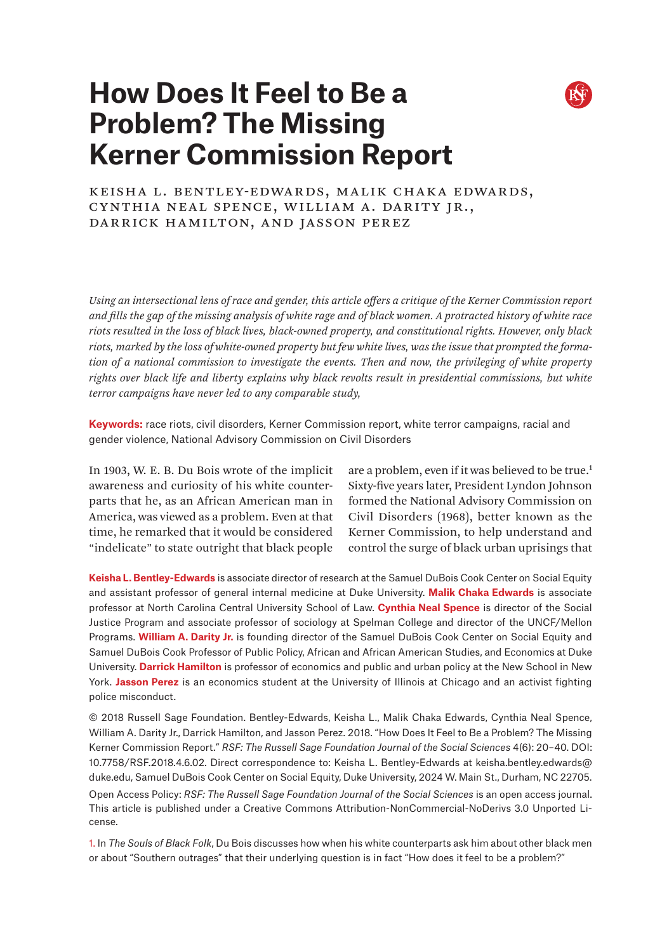

# **How Does It Feel to Be a Problem? The Missing Kerner Commission Report**

Keisha L. Bentley-Edwards, Malik Chaka Edwards, Cynthia Neal Spence, William A. Darity Jr., Darrick Hamilton, and Jasson Perez

*Using an intersectional lens of race and gender, this article offers a critique of the Kerner Commission report and fills the gap of the missing analysis of white rage and of black women. A protracted history of white race riots resulted in the loss of black lives, black-owned property, and constitutional rights. However, only black riots, marked by the loss of white-owned property but few white lives, was the issue that prompted the formation of a national commission to investigate the events. Then and now, the privileging of white property rights over black life and liberty explains why black revolts result in presidential commissions, but white terror campaigns have never led to any comparable study,* 

**Keywords:** race riots, civil disorders, Kerner Commission report, white terror campaigns, racial and gender violence, National Advisory Commission on Civil Disorders

In 1903, W. E. B. Du Bois wrote of the implicit awareness and curiosity of his white counterparts that he, as an African American man in America, was viewed as a problem. Even at that time, he remarked that it would be considered "indelicate" to state outright that black people

are a problem, even if it was believed to be true.<sup>1</sup> Sixty-five years later, President Lyndon Johnson formed the National Advisory Commission on Civil Disorders (1968), better known as the Kerner Commission, to help understand and control the surge of black urban uprisings that

**Keisha L. Bentley-Edwards** is associate director of research at the Samuel DuBois Cook Center on Social Equity and assistant professor of general internal medicine at Duke University. **Malik Chaka Edwards** is associate professor at North Carolina Central University School of Law. **Cynthia Neal Spence** is director of the Social Justice Program and associate professor of sociology at Spelman College and director of the UNCF/Mellon Programs. **William A. Darity Jr.** is founding director of the Samuel DuBois Cook Center on Social Equity and Samuel DuBois Cook Professor of Public Policy, African and African American Studies, and Economics at Duke University. **Darrick Hamilton** is professor of economics and public and urban policy at the New School in New York. **Jasson Perez** is an economics student at the University of Illinois at Chicago and an activist fighting police misconduct.

© 2018 Russell Sage Foundation. Bentley-Edwards, Keisha L., Malik Chaka Edwards, Cynthia Neal Spence, William A. Darity Jr., Darrick Hamilton, and Jasson Perez. 2018. "How Does It Feel to Be a Problem? The Missing Kerner Commission Report." *RSF: The Russell Sage Foundation Journal of the Social Sciences* 4(6): 20–40. DOI: 10.7758/RSF.2018.4.6.02. Direct correspondence to: Keisha L. Bentley-Edwards at [keisha.bentley.edwards@](mailto:keisha.bentley.edwards%40duke.edu?subject=) [duke.edu](mailto:keisha.bentley.edwards%40duke.edu?subject=), Samuel DuBois Cook Center on Social Equity, Duke University, 2024 W. Main St., Durham, NC 22705. Open Access Policy: *RSF: The Russell Sage Foundation Journal of the Social Sciences* is an open access journal. This article is published under a Creative Commons Attribution-NonCommercial-NoDerivs 3.0 Unported License.

1. In *The Souls of Black Folk*, Du Bois discusses how when his white counterparts ask him about other black men or about "Southern outrages" that their underlying question is in fact "How does it feel to be a problem?"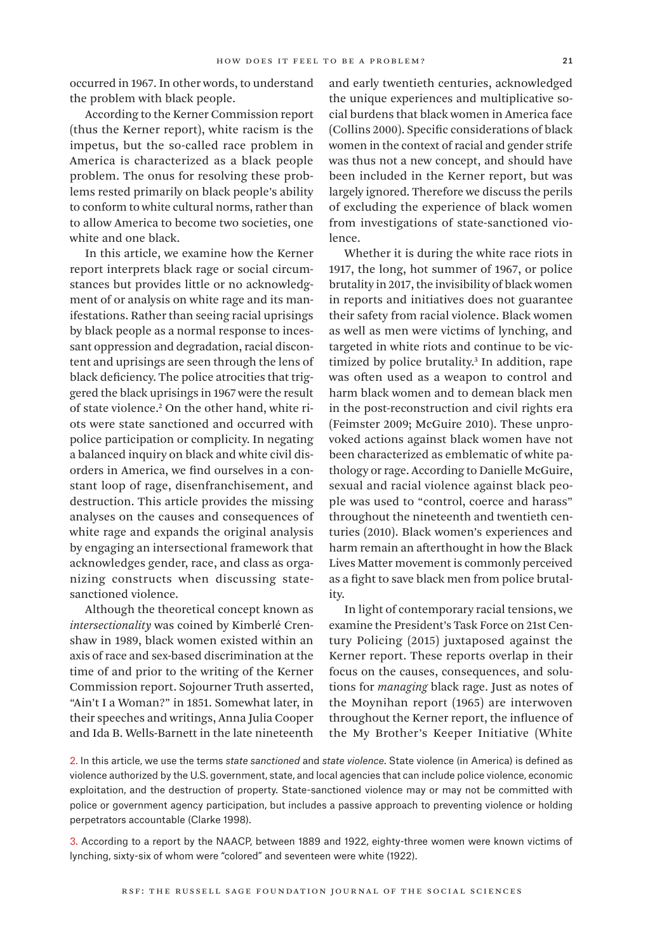occurred in 1967. In other words, to understand the problem with black people.

According to the Kerner Commission report (thus the Kerner report), white racism is the impetus, but the so-called race problem in America is characterized as a black people problem. The onus for resolving these problems rested primarily on black people's ability to conform to white cultural norms, rather than to allow America to become two societies, one white and one black.

In this article, we examine how the Kerner report interprets black rage or social circumstances but provides little or no acknowledgment of or analysis on white rage and its manifestations. Rather than seeing racial uprisings by black people as a normal response to incessant oppression and degradation, racial discontent and uprisings are seen through the lens of black deficiency. The police atrocities that triggered the black uprisings in 1967 were the result of state violence.2 On the other hand, white riots were state sanctioned and occurred with police participation or complicity. In negating a balanced inquiry on black and white civil disorders in America, we find ourselves in a constant loop of rage, disenfranchisement, and destruction. This article provides the missing analyses on the causes and consequences of white rage and expands the original analysis by engaging an intersectional framework that acknowledges gender, race, and class as organizing constructs when discussing statesanctioned violence.

Although the theoretical concept known as *intersectionality* was coined by Kimberlé Crenshaw in 1989, black women existed within an axis of race and sex-based discrimination at the time of and prior to the writing of the Kerner Commission report. Sojourner Truth asserted, "Ain't I a Woman?" in 1851. Somewhat later, in their speeches and writings, Anna Julia Cooper and Ida B. Wells-Barnett in the late nineteenth

and early twentieth centuries, acknowledged the unique experiences and multiplicative social burdens that black women in America face (Collins 2000). Specific considerations of black women in the context of racial and gender strife was thus not a new concept, and should have been included in the Kerner report, but was largely ignored. Therefore we discuss the perils of excluding the experience of black women from investigations of state-sanctioned violence.

Whether it is during the white race riots in 1917, the long, hot summer of 1967, or police brutality in 2017, the invisibility of black women in reports and initiatives does not guarantee their safety from racial violence. Black women as well as men were victims of lynching, and targeted in white riots and continue to be victimized by police brutality.3 In addition, rape was often used as a weapon to control and harm black women and to demean black men in the post-reconstruction and civil rights era (Feimster 2009; McGuire 2010). These unprovoked actions against black women have not been characterized as emblematic of white pathology or rage. According to Danielle McGuire, sexual and racial violence against black people was used to "control, coerce and harass" throughout the nineteenth and twentieth centuries (2010). Black women's experiences and harm remain an afterthought in how the Black Lives Matter movement is commonly perceived as a fight to save black men from police brutality.

In light of contemporary racial tensions, we examine the President's Task Force on 21st Century Policing (2015) juxtaposed against the Kerner report. These reports overlap in their focus on the causes, consequences, and solutions for *managing* black rage. Just as notes of the Moynihan report (1965) are interwoven throughout the Kerner report, the influence of the My Brother's Keeper Initiative (White

2. In this article, we use the terms *state sanctioned* and *state violence*. State violence (in America) is defined as violence authorized by the U.S. government, state, and local agencies that can include police violence, economic exploitation, and the destruction of property. State-sanctioned violence may or may not be committed with police or government agency participation, but includes a passive approach to preventing violence or holding perpetrators accountable (Clarke 1998).

3. According to a report by the NAACP, between 1889 and 1922, eighty-three women were known victims of lynching, sixty-six of whom were "colored" and seventeen were white (1922).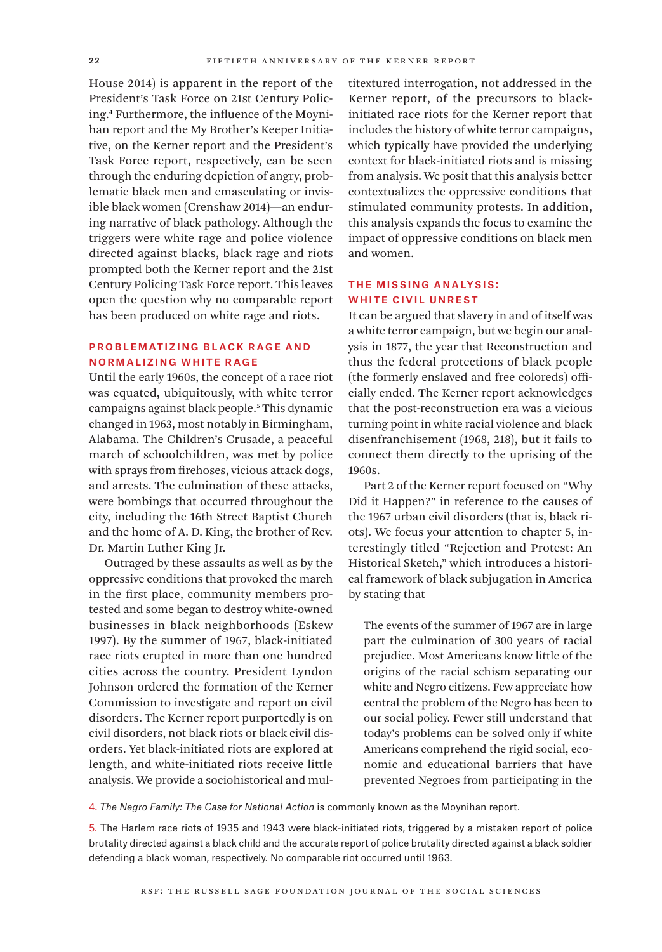House 2014) is apparent in the report of the President's Task Force on 21st Century Policing.4 Furthermore, the influence of the Moynihan report and the My Brother's Keeper Initiative, on the Kerner report and the President's Task Force report, respectively, can be seen through the enduring depiction of angry, problematic black men and emasculating or invisible black women (Crenshaw 2014)—an enduring narrative of black pathology. Although the triggers were white rage and police violence directed against blacks, black rage and riots prompted both the Kerner report and the 21st Century Policing Task Force report. This leaves open the question why no comparable report has been produced on white rage and riots.

## Problematizing Black Rage and Normalizing White Rage

Until the early 1960s, the concept of a race riot was equated, ubiquitously, with white terror campaigns against black people.5 This dynamic changed in 1963, most notably in Birmingham, Alabama. The Children's Crusade, a peaceful march of schoolchildren, was met by police with sprays from firehoses, vicious attack dogs, and arrests. The culmination of these attacks, were bombings that occurred throughout the city, including the 16th Street Baptist Church and the home of A. D. King, the brother of Rev. Dr. Martin Luther King Jr.

Outraged by these assaults as well as by the oppressive conditions that provoked the march in the first place, community members protested and some began to destroy white-owned businesses in black neighborhoods (Eskew 1997). By the summer of 1967, black-initiated race riots erupted in more than one hundred cities across the country. President Lyndon Johnson ordered the formation of the Kerner Commission to investigate and report on civil disorders. The Kerner report purportedly is on civil disorders, not black riots or black civil disorders. Yet black-initiated riots are explored at length, and white-initiated riots receive little analysis. We provide a sociohistorical and multitextured interrogation, not addressed in the Kerner report, of the precursors to blackinitiated race riots for the Kerner report that includes the history of white terror campaigns, which typically have provided the underlying context for black-initiated riots and is missing from analysis. We posit that this analysis better contextualizes the oppressive conditions that stimulated community protests. In addition, this analysis expands the focus to examine the impact of oppressive conditions on black men and women.

## The Missing Analysis: WHITE CIVIL UNREST

It can be argued that slavery in and of itself was a white terror campaign, but we begin our analysis in 1877, the year that Reconstruction and thus the federal protections of black people (the formerly enslaved and free coloreds) officially ended. The Kerner report acknowledges that the post-reconstruction era was a vicious turning point in white racial violence and black disenfranchisement (1968, 218), but it fails to connect them directly to the uprising of the 1960s.

Part 2 of the Kerner report focused on "Why Did it Happen?" in reference to the causes of the 1967 urban civil disorders (that is, black riots). We focus your attention to chapter 5, interestingly titled "Rejection and Protest: An Historical Sketch," which introduces a historical framework of black subjugation in America by stating that

The events of the summer of 1967 are in large part the culmination of 300 years of racial prejudice. Most Americans know little of the origins of the racial schism separating our white and Negro citizens. Few appreciate how central the problem of the Negro has been to our social policy. Fewer still understand that today's problems can be solved only if white Americans comprehend the rigid social, economic and educational barriers that have prevented Negroes from participating in the

4. *The Negro Family: The Case for National Action* is commonly known as the Moynihan report.

5. The Harlem race riots of 1935 and 1943 were black-initiated riots, triggered by a mistaken report of police brutality directed against a black child and the accurate report of police brutality directed against a black soldier defending a black woman, respectively. No comparable riot occurred until 1963.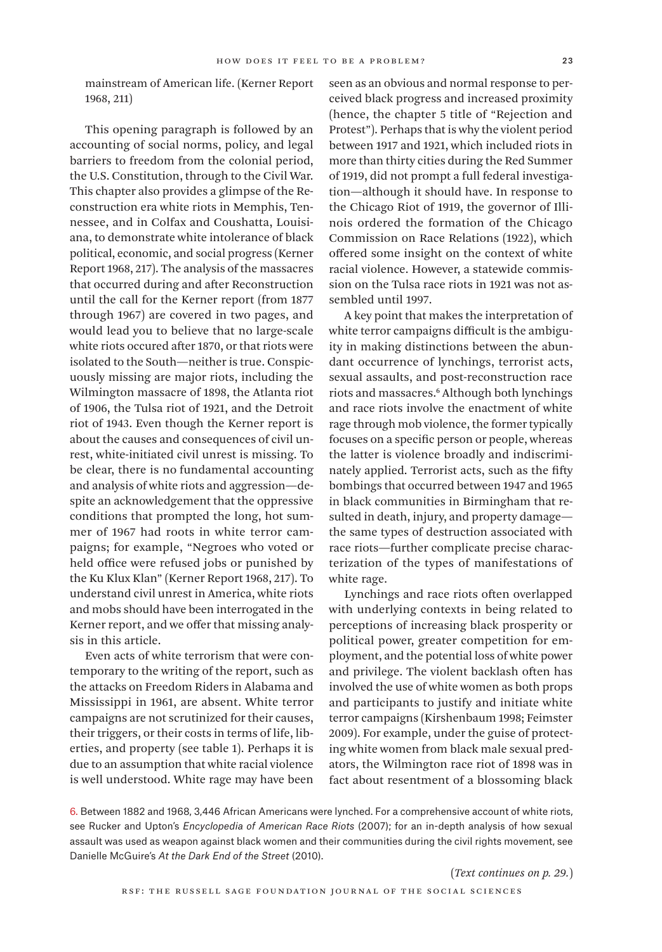mainstream of American life. (Kerner Report 1968, 211)

This opening paragraph is followed by an accounting of social norms, policy, and legal barriers to freedom from the colonial period, the U.S. Constitution, through to the Civil War. This chapter also provides a glimpse of the Reconstruction era white riots in Memphis, Tennessee, and in Colfax and Coushatta, Louisiana, to demonstrate white intolerance of black political, economic, and social progress (Kerner Report 1968, 217). The analysis of the massacres that occurred during and after Reconstruction until the call for the Kerner report (from 1877 through 1967) are covered in two pages, and would lead you to believe that no large-scale white riots occured after 1870, or that riots were isolated to the South—neither is true. Conspicuously missing are major riots, including the Wilmington massacre of 1898, the Atlanta riot of 1906, the Tulsa riot of 1921, and the Detroit riot of 1943. Even though the Kerner report is about the causes and consequences of civil unrest, white-initiated civil unrest is missing. To be clear, there is no fundamental accounting and analysis of white riots and aggression—despite an acknowledgement that the oppressive conditions that prompted the long, hot summer of 1967 had roots in white terror campaigns; for example, "Negroes who voted or held office were refused jobs or punished by the Ku Klux Klan" (Kerner Report 1968, 217). To understand civil unrest in America, white riots and mobs should have been interrogated in the Kerner report, and we offer that missing analysis in this article.

Even acts of white terrorism that were contemporary to the writing of the report, such as the attacks on Freedom Riders in Alabama and Mississippi in 1961, are absent. White terror campaigns are not scrutinized for their causes, their triggers, or their costs in terms of life, liberties, and property (see table 1). Perhaps it is due to an assumption that white racial violence is well understood. White rage may have been

seen as an obvious and normal response to perceived black progress and increased proximity (hence, the chapter 5 title of "Rejection and Protest"). Perhaps that is why the violent period between 1917 and 1921, which included riots in more than thirty cities during the Red Summer of 1919, did not prompt a full federal investigation—although it should have. In response to the Chicago Riot of 1919, the governor of Illinois ordered the formation of the Chicago Commission on Race Relations (1922), which offered some insight on the context of white racial violence. However, a statewide commission on the Tulsa race riots in 1921 was not assembled until 1997.

A key point that makes the interpretation of white terror campaigns difficult is the ambiguity in making distinctions between the abundant occurrence of lynchings, terrorist acts, sexual assaults, and post-reconstruction race riots and massacres.6 Although both lynchings and race riots involve the enactment of white rage through mob violence, the former typically focuses on a specific person or people, whereas the latter is violence broadly and indiscriminately applied. Terrorist acts, such as the fifty bombings that occurred between 1947 and 1965 in black communities in Birmingham that resulted in death, injury, and property damage the same types of destruction associated with race riots—further complicate precise characterization of the types of manifestations of white rage.

Lynchings and race riots often overlapped with underlying contexts in being related to perceptions of increasing black prosperity or political power, greater competition for employment, and the potential loss of white power and privilege. The violent backlash often has involved the use of white women as both props and participants to justify and initiate white terror campaigns (Kirshenbaum 1998; Feimster 2009). For example, under the guise of protecting white women from black male sexual predators, the Wilmington race riot of 1898 was in fact about resentment of a blossoming black

6. Between 1882 and 1968, 3,446 African Americans were lynched. For a comprehensive account of white riots, see Rucker and Upton's *Encyclopedia of American Race Riots* (2007); for an in-depth analysis of how sexual assault was used as weapon against black women and their communities during the civil rights movement, see Danielle McGuire's *At the Dark End of the Street* (2010).

(*Text continues on p. 29.*)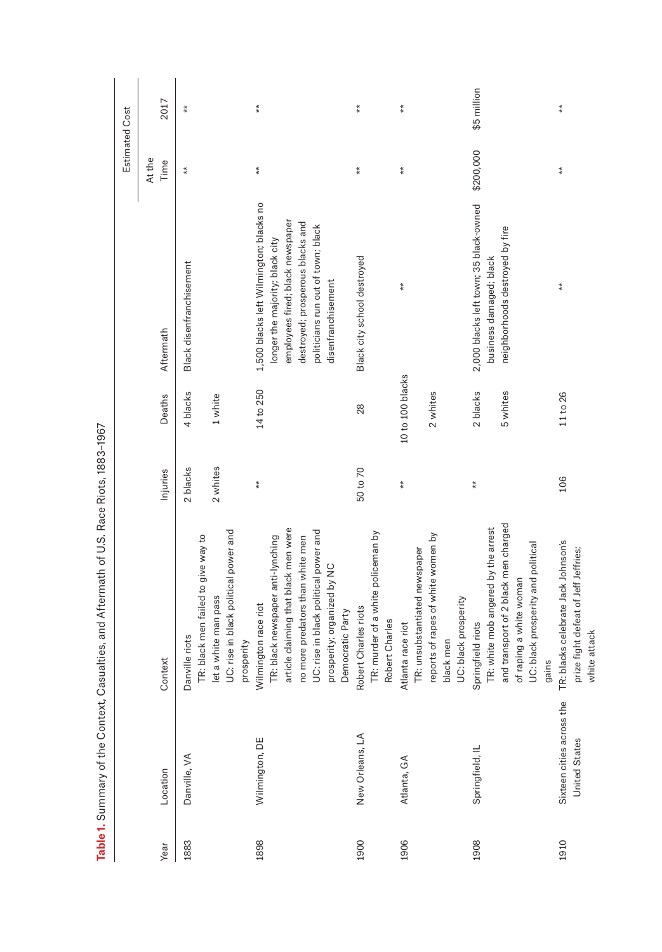|      |                                                   |                                                                                                                                                                                                                                   |                      |                              |                                                                                                                                                                                                                | <b>Estimated Cost</b> |                   |
|------|---------------------------------------------------|-----------------------------------------------------------------------------------------------------------------------------------------------------------------------------------------------------------------------------------|----------------------|------------------------------|----------------------------------------------------------------------------------------------------------------------------------------------------------------------------------------------------------------|-----------------------|-------------------|
| Year | Location                                          | Context                                                                                                                                                                                                                           | Injuries             | Deaths                       | Aftermath                                                                                                                                                                                                      | At the<br>Time        | 2017              |
| 1883 | Danville, VA                                      | UC: rise in black political power and<br>TR: black men failed to give way to<br>let a white man pass<br>Danville riots<br>prosperity                                                                                              | 2 whites<br>2 blacks | 4 blacks<br>1 white          | Black disenfranchisement                                                                                                                                                                                       | $*$                   | $\bf{*}$          |
| 1898 | Wilmington, DE                                    | article claiming that black men were<br>UC: rise in black political power and<br>TR: black newspaper anti-lynching<br>no more predators than white men<br>prosperity; organized by NC<br>Wilmington race riot<br>Democratic Party | $\frac{*}{*}$        | 14 to 250                    | 1,500 blacks left Wilmington; blacks no<br>employees fired; black newspaper<br>destroyed; prosperous blacks and<br>politicians run out of town; black<br>longer the majority; black city<br>disenfranchisement | $\frac{*}{*}$         | $\stackrel{*}{*}$ |
| 1900 | New Orleans, LA                                   | TR: murder of a white policeman by<br>Robert Charles riots<br>Robert Charles                                                                                                                                                      | 50 to 70             | 28                           | Black city school destroyed                                                                                                                                                                                    | $*$                   | $\frac{*}{*}$     |
| 1906 | Atlanta, GA                                       | reports of rapes of white women by<br>TR: unsubstantiated newspaper<br>UC: black prosperity<br>Atlanta race riot<br>black men                                                                                                     | $\stackrel{*}{*}$    | 10 to 100 blacks<br>2 whites | $\frac{*}{*}$                                                                                                                                                                                                  | $*$                   | $\ddot{*}$        |
| 1908 | Springfield, IL                                   | and transport of 2 black men charged<br>TR: white mob angered by the arrest<br>UC: black prosperity and political<br>of raping a white woman<br>Springfield riots<br>gains                                                        | $\ddot{*}$           | 2 blacks<br>5 whites         | 2,000 blacks left town; 35 black-owned<br>neighborhoods destroyed by fire<br>business damaged; black                                                                                                           | \$200,000             | \$5 million       |
| 1910 | Sixteen cities across the<br><b>United States</b> | TR: blacks celebrate Jack Johnson's<br>prize fight defeat of Jeff Jeffries;<br>white attack                                                                                                                                       | 106                  | 11 to 26                     | $\frac{*}{*}$                                                                                                                                                                                                  | $\frac{*}{*}$         | $\stackrel{*}{*}$ |

Table 1. Summary of the Context, Casualties, and Aftermath of U.S. Race Riots, 1883-1967 **Table 1.** Summary of the Context, Casualties, and Aftermath of U.S. Race Riots, 1883–1967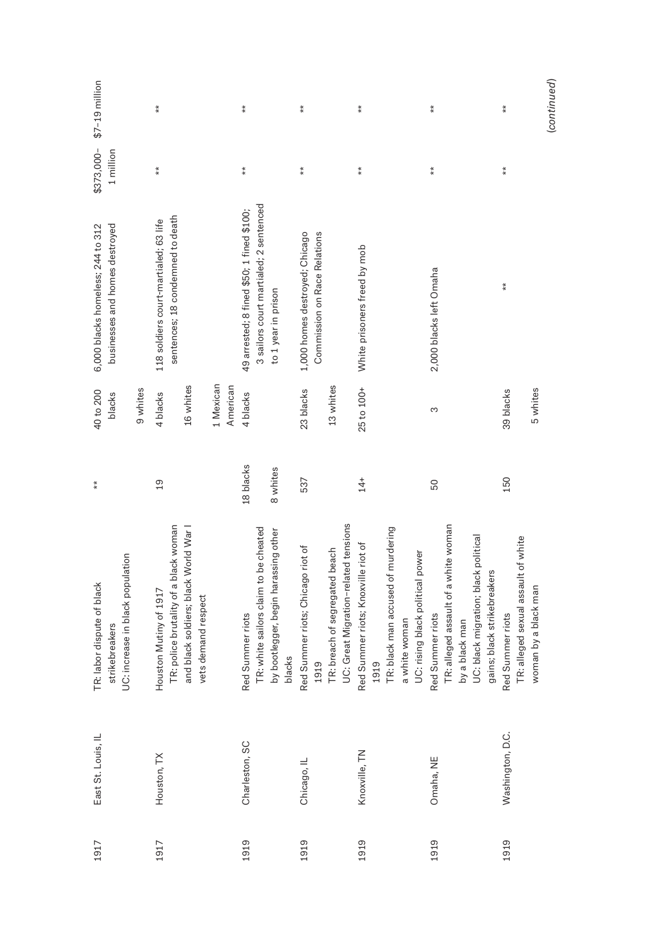| 1917 | East St. Louis, IL | UC: increase in black population<br>TR: labor dispute of black<br>strikebreakers | $*$             | 40 to 200<br>blacks | businesses and homes destroyed<br>6,000 blacks homeless; 244 to 312       | \$373,000-<br>1 million | $$7-19$ million |
|------|--------------------|----------------------------------------------------------------------------------|-----------------|---------------------|---------------------------------------------------------------------------|-------------------------|-----------------|
|      |                    |                                                                                  |                 | 9 whites            |                                                                           |                         |                 |
| 1917 | Houston, TX        | TR: police brutality of a black woman<br>Mutiny of 1917<br>Houston               | $\overline{19}$ | 4 blacks            | sentences; 18 condemned to death<br>118 soldiers court-martialed; 63 life | $*$                     | $*$             |
|      |                    | and black soldiers; black World War<br>vets demand respect                       |                 | 16 whites           |                                                                           |                         |                 |
|      |                    |                                                                                  |                 | 1 Mexican           |                                                                           |                         |                 |
|      |                    |                                                                                  |                 | American            |                                                                           |                         |                 |
| 1919 | Charleston, SC     | Red Summer riots                                                                 | 18 blacks       | 4 blacks            | 49 arrested; 8 fined \$50; 1 fined \$100;                                 | $\frac{*}{*}$           | $\frac{*}{*}$   |
|      |                    | TR: white sailors claim to be cheated                                            |                 |                     | 3 sailors court martialed; 2 sentenced                                    |                         |                 |
|      |                    | by bootlegger, begin harassing other<br>blacks                                   | 8 whites        |                     | to 1 year in prison                                                       |                         |                 |
| 1919 | Chicago, IL        | Red Summer riots; Chicago riot of<br>1919                                        | 537             | 23 blacks           | 1,000 homes destroyed; Chicago<br>Commission on Race Relations            | $\stackrel{*}{*}$       | $\ast\ast$      |
|      |                    | TR: breach of segregated beach                                                   |                 | 13 whites           |                                                                           |                         |                 |
|      |                    | UC: Great Migration-related tensions                                             |                 |                     |                                                                           |                         |                 |
| 1919 | Knoxville, TN      | Red Summer riots; Knoxville riot of                                              | $14+$           | 25 to 100+          | White prisoners freed by mob                                              | $\frac{*}{*}$           | $*$             |
|      |                    | 1919                                                                             |                 |                     |                                                                           |                         |                 |
|      |                    | TR: black man accused of murdering                                               |                 |                     |                                                                           |                         |                 |
|      |                    | a white woman                                                                    |                 |                     |                                                                           |                         |                 |
|      |                    | UC: rising black political power                                                 |                 |                     |                                                                           |                         |                 |
| 1919 | Omaha, NE          | Red Summer riots                                                                 | 50              | S                   | 2,000 blacks left Omaha                                                   | $\ast$                  | $*$             |
|      |                    | TR: alleged assault of a white woman                                             |                 |                     |                                                                           |                         |                 |
|      |                    | by a black man                                                                   |                 |                     |                                                                           |                         |                 |
|      |                    | UC: black migration; black political                                             |                 |                     |                                                                           |                         |                 |
|      |                    | gains; black strikebreakers                                                      |                 |                     |                                                                           |                         |                 |
| 1919 | Washington, D.C.   | Red Summer riots                                                                 | 150             | 39 blacks           | $*$                                                                       | $*$                     | $*$             |
|      |                    | TR: alleged sexual assault of white                                              |                 |                     |                                                                           |                         |                 |
|      |                    | woman by a black man                                                             |                 | 5 whites            |                                                                           |                         |                 |
|      |                    |                                                                                  |                 |                     |                                                                           |                         | (continued)     |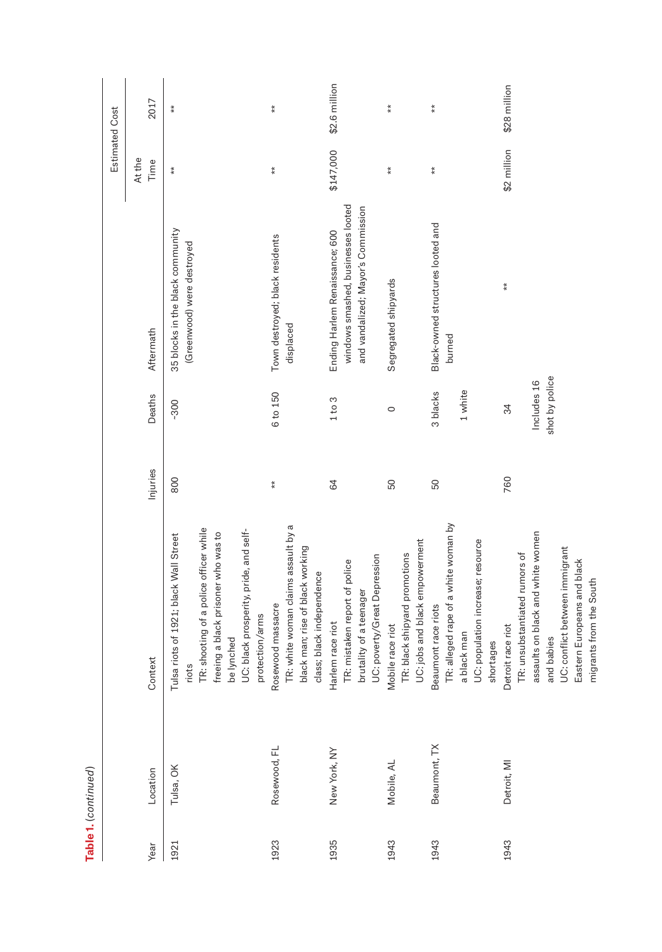|      | Table 1. (continued) |                                                                                                                                                                           |               |                                     |                                                                                                            |                   |                       |
|------|----------------------|---------------------------------------------------------------------------------------------------------------------------------------------------------------------------|---------------|-------------------------------------|------------------------------------------------------------------------------------------------------------|-------------------|-----------------------|
|      |                      |                                                                                                                                                                           |               |                                     |                                                                                                            |                   | <b>Estimated Cost</b> |
| Year | Location             | Context                                                                                                                                                                   | Injuries      | Deaths                              | Aftermath                                                                                                  | At the<br>Time    | 2017                  |
| 1921 | Tulsa, OK            | TR: shooting of a police officer while<br>of 1921; black Wall Street<br>Tulsa riots<br>riots                                                                              | 800           | -300                                | 35 blocks in the black community<br>(Greenwood) were destroyed                                             | $\ddot{*}$        | $\ddot{*}$            |
|      |                      | UC: black prosperity, pride, and self-<br>freeing a black prisoner who was to<br>protection/arms<br>be lynched                                                            |               |                                     |                                                                                                            |                   |                       |
| 1923 | Rosewood, FL         | TR: white woman claims assault by a<br>black man; rise of black working<br>class; black independence<br>Rosewood massacre                                                 | $\frac{*}{*}$ | 6 to 150                            | Town destroyed; black residents<br>displaced                                                               | $\stackrel{*}{*}$ | $\stackrel{*}{*}$     |
| 1935 | New York, NY         | UC: poverty/Great Depression<br>TR: mistaken report of police<br>brutality of a teenager<br>Harlem race riot                                                              | 84            | 1 to 3                              | windows smashed, businesses looted<br>and vandalized; Mayor's Commission<br>Ending Harlem Renaissance; 600 | \$147,000         | \$2.6 million         |
| 1943 | Mobile, AL           | UC: jobs and black empowerment<br>TR: black shipyard promotions<br>Mobile race riot                                                                                       | 50            | $\circ$                             | Segregated shipyards                                                                                       | $\stackrel{*}{*}$ | $\stackrel{*}{*}$     |
| 1943 | Beaumont, TX         | TR: alleged rape of a white woman by<br>UC: population increase; resource<br>Beaumont race riots<br>a black man<br>shortages                                              | 50            | 1 white<br>3 blacks                 | Black-owned structures looted and<br>burned                                                                | $*$               | $\stackrel{*}{*}$     |
| 1943 | Detroit, MI          | assaults on black and white women<br>UC: conflict between immigrant<br>TR: unsubstantiated rumors of<br>Europeans and black<br>Detroit race riot<br>and babies<br>Eastern | 760           | shot by police<br>Includes 16<br>34 | $*$                                                                                                        | \$2 million       | \$28 million          |
|      |                      | migrants from the South                                                                                                                                                   |               |                                     |                                                                                                            |                   |                       |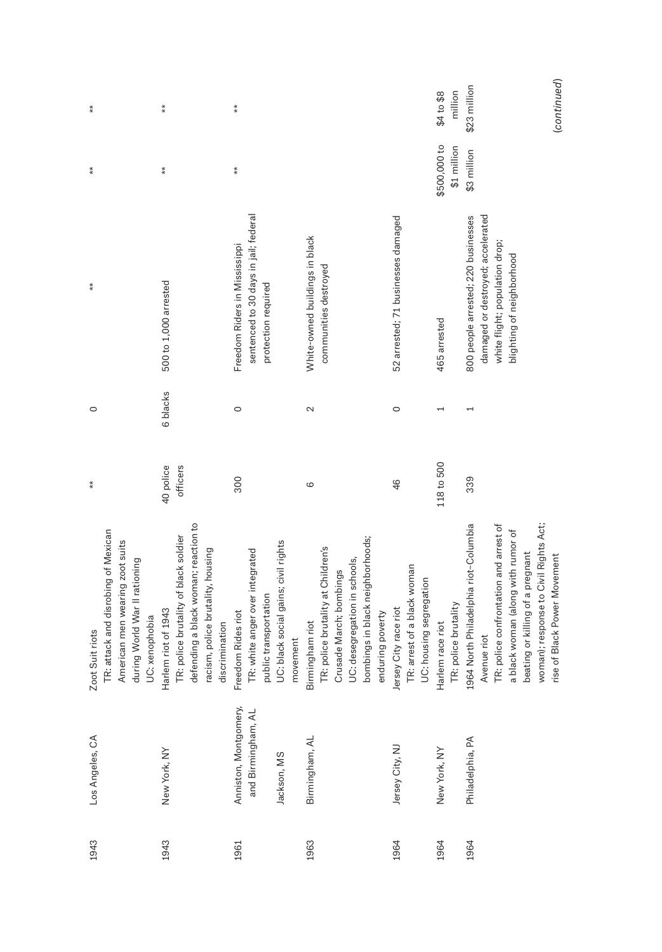|                                                            | Los Angeles, CA | Zoot Suit riots                                                                                                                                                                                                   | $\stackrel{*}{*}$     | $\circ$           | $*$                                                                                                                                     | $\ddot{*}$                  | $\ddot{*}$            |
|------------------------------------------------------------|-----------------|-------------------------------------------------------------------------------------------------------------------------------------------------------------------------------------------------------------------|-----------------------|-------------------|-----------------------------------------------------------------------------------------------------------------------------------------|-----------------------------|-----------------------|
|                                                            |                 | TR: attack and disrobing of Mexican<br>American men wearing zoot suits<br>during World War II rationing<br>UC: xenophobia                                                                                         |                       |                   |                                                                                                                                         |                             |                       |
| New York, NY                                               |                 | defending a black woman; reaction to<br>TR: police brutality of black soldier<br>racism, police brutality, housing<br>Harlem riot of 1943                                                                         | 40 police<br>officers | 6 blacks          | 500 to 1,000 arrested                                                                                                                   | $\stackrel{*}{*}$           | $\stackrel{*}{*}$     |
| Anniston, Montgomery,<br>and Birmingham, AL<br>Jackson, MS |                 | UC: black social gains; civil rights<br>TR: white anger over integrated<br>public transportation<br>Rides riot<br>discrimination<br>movement<br>Freedom                                                           | 300                   | $\circ$           | sentenced to 30 days in jail; federal<br>Freedom Riders in Mississippi<br>protection required                                           | $*$                         | $\stackrel{*}{*}$     |
| Birmingham, AL<br>Jersey City, NJ                          |                 | bombings in black neighborhoods;<br>TR: police brutality at Children's<br>UC: desegregation in schools,<br>Crusade March; bombings<br>Jersey City race riot<br>enduring poverty<br>Birmingham riot                | 46<br>6               | $\sim$<br>$\circ$ | 52 arrested; 71 businesses damaged<br>White-owned buildings in black<br>communities destroyed                                           |                             |                       |
| New York, NY                                               |                 | TR: arrest of a black woman<br>UC: housing segregation<br>TR: police brutality<br>Harlem race riot                                                                                                                | 118 to 500            |                   | 465 arrested                                                                                                                            | \$500,000 to<br>\$1 million | million<br>\$4 to \$8 |
| Philadelphia, PA                                           |                 | 1964 North Philadelphia riot-Columbia<br>TR: police confrontation and arrest of<br>woman); response to Civil Rights Act;<br>a black woman (along with rumor of<br>beating or killing of a pregnant<br>Avenue riot | 339                   |                   | damaged or destroyed; accelerated<br>800 people arrested; 220 businesses<br>white flight; population drop;<br>blighting of neighborhood | \$3 million                 | \$23 million          |
|                                                            |                 | Black Power Movement<br>rise of                                                                                                                                                                                   |                       |                   |                                                                                                                                         |                             | (continued)           |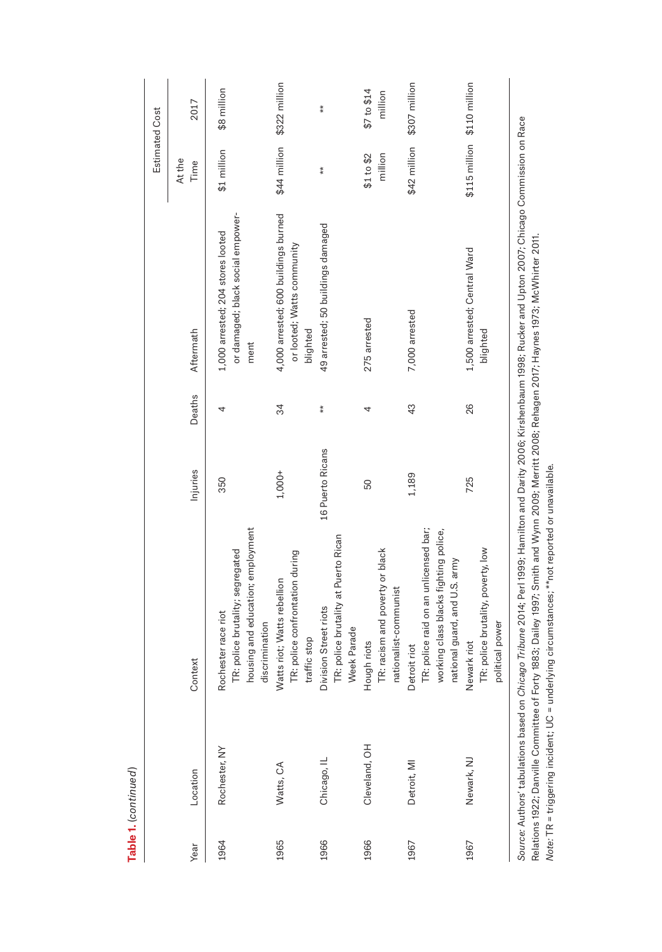|      |               |                                                                                                                                                                      |                  |               |                                                                                | Estimated Cost              |                        |
|------|---------------|----------------------------------------------------------------------------------------------------------------------------------------------------------------------|------------------|---------------|--------------------------------------------------------------------------------|-----------------------------|------------------------|
| Year | Location      | Context                                                                                                                                                              | Injuries         | Deaths        | Aftermath                                                                      | At the<br>Time              | 2017                   |
| 1964 | Rochester, NY | housing and education; employment<br>TR: police brutality; segregated<br>Rochester race riot                                                                         | 350              | 4             | or damaged; black social empower-<br>1,000 arrested; 204 stores looted<br>ment | \$1 million                 | \$8 million            |
| 1965 | Watts, CA     | TR: police confrontation during<br>Watts riot; Watts rebellion<br>discrimination<br>stop<br>traffic                                                                  | $1,000+$         | 34            | 4,000 arrested; 600 buildings burned<br>or looted; Watts community<br>blighted | \$44 million                | \$322 million          |
| 1966 | Chicago, IL   | TR: police brutality at Puerto Rican<br>Division Street riots<br>Week Parade                                                                                         | 16 Puerto Ricans | $\frac{*}{*}$ | 49 arrested; 50 buildings damaged                                              | $\ddot{*}$                  | $\ddot{*}$             |
| 1966 | Cleveland, OH | TR: racism and poverty or black<br>nationalist-communist<br>Hough riots                                                                                              | 50               | 4             | 275 arrested                                                                   | \$1 to \$2<br>million       | \$7 to \$14<br>million |
| 1967 | Detroit, MI   | TR: police raid on an unlicensed bar;<br>working class blacks fighting police,<br>national guard, and U.S. army<br>Detroit riot                                      | 1,189            | 43            | 7,000 arrested                                                                 | \$42 million                | \$307 million          |
| 1967 | Newark, NJ    | TR: police brutality, poverty, low<br>political power<br>Newark riot                                                                                                 | 725              | 26            | 1,500 arrested; Central Ward<br>blighted                                       | \$115 million \$110 million |                        |
|      |               | Source: Authors' tabulations based on Chicago Tribuge 2014: Perl 1999; Hamilton and Darity 2006; Kirshenbaum 1998; Rucker and Unton 2007; Chicago Commission on Race |                  |               |                                                                                |                             |                        |

*Source:* Authors' tabulations based on *Chicago Tribune* 2014; Perl 1999; Hamilton and Darity 2006; Kirshenbaum 1998; Rucker and Upton 2007; Chicago Commission on Race י<br>פ -Source: Autnors tabulations based on C*nicago Tibune 2*U14; Peri 1999; Hamilton and Darity 2006; Kirshenbaum 1998; Kucker and Upton 2007; Cni<br>Relations 1922; Danville Committee of Forty 1883; Dailey 1997; Smith and Wynn Relations 1922; Danville Committee of Forty 1883; Dailey 1997; Smith and Wynn 2009; Merritt 2008; Rehagen 2017; Haynes 1973; McWhirter 2011. *Note:* TR = triggering incident; UC = underlying circumstances; \*\*not reported or unavailable.

Table 1. (continued) **Table 1.** (*continued*)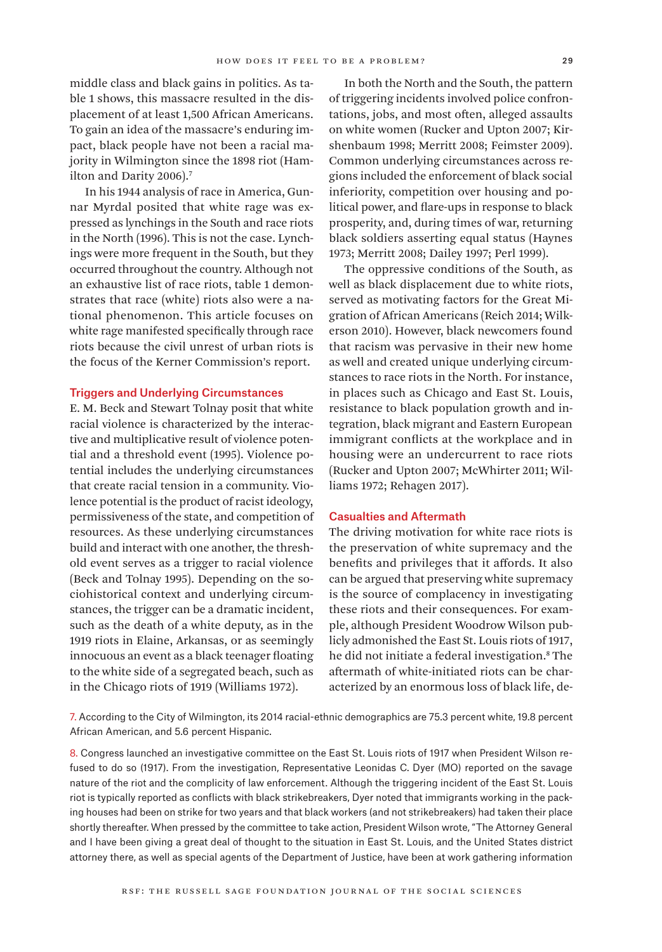middle class and black gains in politics. As table 1 shows, this massacre resulted in the displacement of at least 1,500 African Americans. To gain an idea of the massacre's enduring impact, black people have not been a racial majority in Wilmington since the 1898 riot (Hamilton and Darity 2006).<sup>7</sup>

In his 1944 analysis of race in America, Gunnar Myrdal posited that white rage was expressed as lynchings in the South and race riots in the North (1996). This is not the case. Lynchings were more frequent in the South, but they occurred throughout the country. Although not an exhaustive list of race riots, table 1 demonstrates that race (white) riots also were a national phenomenon. This article focuses on white rage manifested specifically through race riots because the civil unrest of urban riots is the focus of the Kerner Commission's report.

#### Triggers and Underlying Circumstances

E. M. Beck and Stewart Tolnay posit that white racial violence is characterized by the interactive and multiplicative result of violence potential and a threshold event (1995). Violence potential includes the underlying circumstances that create racial tension in a community. Violence potential is the product of racist ideology, permissiveness of the state, and competition of resources. As these underlying circumstances build and interact with one another, the threshold event serves as a trigger to racial violence (Beck and Tolnay 1995). Depending on the sociohistorical context and underlying circumstances, the trigger can be a dramatic incident, such as the death of a white deputy, as in the 1919 riots in Elaine, Arkansas, or as seemingly innocuous an event as a black teenager floating to the white side of a segregated beach, such as in the Chicago riots of 1919 (Williams 1972).

In both the North and the South, the pattern of triggering incidents involved police confrontations, jobs, and most often, alleged assaults on white women (Rucker and Upton 2007; Kirshenbaum 1998; Merritt 2008; Feimster 2009). Common underlying circumstances across regions included the enforcement of black social inferiority, competition over housing and political power, and flare-ups in response to black prosperity, and, during times of war, returning black soldiers asserting equal status (Haynes 1973; Merritt 2008; Dailey 1997; Perl 1999).

The oppressive conditions of the South, as well as black displacement due to white riots, served as motivating factors for the Great Migration of African Americans (Reich 2014; Wilkerson 2010). However, black newcomers found that racism was pervasive in their new home as well and created unique underlying circumstances to race riots in the North. For instance, in places such as Chicago and East St. Louis, resistance to black population growth and integration, black migrant and Eastern European immigrant conflicts at the workplace and in housing were an undercurrent to race riots (Rucker and Upton 2007; McWhirter 2011; Williams 1972; Rehagen 2017).

#### Casualties and Aftermath

The driving motivation for white race riots is the preservation of white supremacy and the benefits and privileges that it affords. It also can be argued that preserving white supremacy is the source of complacency in investigating these riots and their consequences. For example, although President Woodrow Wilson publicly admonished the East St. Louis riots of 1917, he did not initiate a federal investigation.8 The aftermath of white-initiated riots can be characterized by an enormous loss of black life, de-

7. According to the City of Wilmington, its 2014 racial-ethnic demographics are 75.3 percent white, 19.8 percent African American, and 5.6 percent Hispanic.

8. Congress launched an investigative committee on the East St. Louis riots of 1917 when President Wilson refused to do so (1917). From the investigation, Representative Leonidas C. Dyer (MO) reported on the savage nature of the riot and the complicity of law enforcement. Although the triggering incident of the East St. Louis riot is typically reported as conflicts with black strikebreakers, Dyer noted that immigrants working in the packing houses had been on strike for two years and that black workers (and not strikebreakers) had taken their place shortly thereafter. When pressed by the committee to take action, President Wilson wrote, "The Attorney General and I have been giving a great deal of thought to the situation in East St. Louis, and the United States district attorney there, as well as special agents of the Department of Justice, have been at work gathering information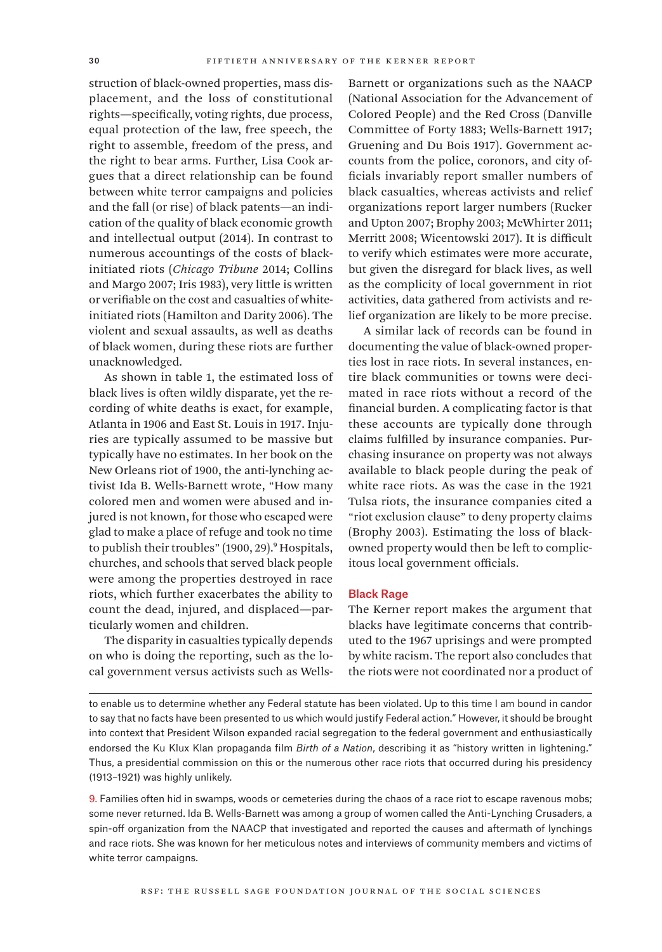struction of black-owned properties, mass displacement, and the loss of constitutional rights—specifically, voting rights, due process, equal protection of the law, free speech, the right to assemble, freedom of the press, and the right to bear arms. Further, Lisa Cook argues that a direct relationship can be found between white terror campaigns and policies and the fall (or rise) of black patents—an indication of the quality of black economic growth and intellectual output (2014). In contrast to numerous accountings of the costs of blackinitiated riots (*Chicago Tribune* 2014; Collins and Margo 2007; Iris 1983), very little is written or verifiable on the cost and casualties of whiteinitiated riots (Hamilton and Darity 2006). The violent and sexual assaults, as well as deaths of black women, during these riots are further unacknowledged.

As shown in table 1, the estimated loss of black lives is often wildly disparate, yet the recording of white deaths is exact, for example, Atlanta in 1906 and East St. Louis in 1917. Injuries are typically assumed to be massive but typically have no estimates. In her book on the New Orleans riot of 1900, the anti-lynching activist Ida B. Wells-Barnett wrote, "How many colored men and women were abused and injured is not known, for those who escaped were glad to make a place of refuge and took no time to publish their troubles" (1900, 29).<sup>9</sup> Hospitals, churches, and schools that served black people were among the properties destroyed in race riots, which further exacerbates the ability to count the dead, injured, and displaced—particularly women and children.

The disparity in casualties typically depends on who is doing the reporting, such as the local government versus activists such as WellsBarnett or organizations such as the NAACP (National Association for the Advancement of Colored People) and the Red Cross (Danville Committee of Forty 1883; Wells-Barnett 1917; Gruening and Du Bois 1917). Government accounts from the police, coronors, and city officials invariably report smaller numbers of black casualties, whereas activists and relief organizations report larger numbers (Rucker and Upton 2007; Brophy 2003; McWhirter 2011; Merritt 2008; Wicentowski 2017). It is difficult to verify which estimates were more accurate, but given the disregard for black lives, as well as the complicity of local government in riot activities, data gathered from activists and relief organization are likely to be more precise.

A similar lack of records can be found in documenting the value of black-owned properties lost in race riots. In several instances, entire black communities or towns were decimated in race riots without a record of the financial burden. A complicating factor is that these accounts are typically done through claims fulfilled by insurance companies. Purchasing insurance on property was not always available to black people during the peak of white race riots. As was the case in the 1921 Tulsa riots, the insurance companies cited a "riot exclusion clause" to deny property claims (Brophy 2003). Estimating the loss of blackowned property would then be left to complicitous local government officials.

#### Black Rage

The Kerner report makes the argument that blacks have legitimate concerns that contributed to the 1967 uprisings and were prompted by white racism. The report also concludes that the riots were not coordinated nor a product of

to enable us to determine whether any Federal statute has been violated. Up to this time I am bound in candor to say that no facts have been presented to us which would justify Federal action." However, it should be brought into context that President Wilson expanded racial segregation to the federal government and enthusiastically endorsed the Ku Klux Klan propaganda film *Birth of a Nation*, describing it as "history written in lightening." Thus, a presidential commission on this or the numerous other race riots that occurred during his presidency (1913–1921) was highly unlikely.

9. Families often hid in swamps, woods or cemeteries during the chaos of a race riot to escape ravenous mobs; some never returned. Ida B. Wells-Barnett was among a group of women called the Anti-Lynching Crusaders, a spin-off organization from the NAACP that investigated and reported the causes and aftermath of lynchings and race riots. She was known for her meticulous notes and interviews of community members and victims of white terror campaigns.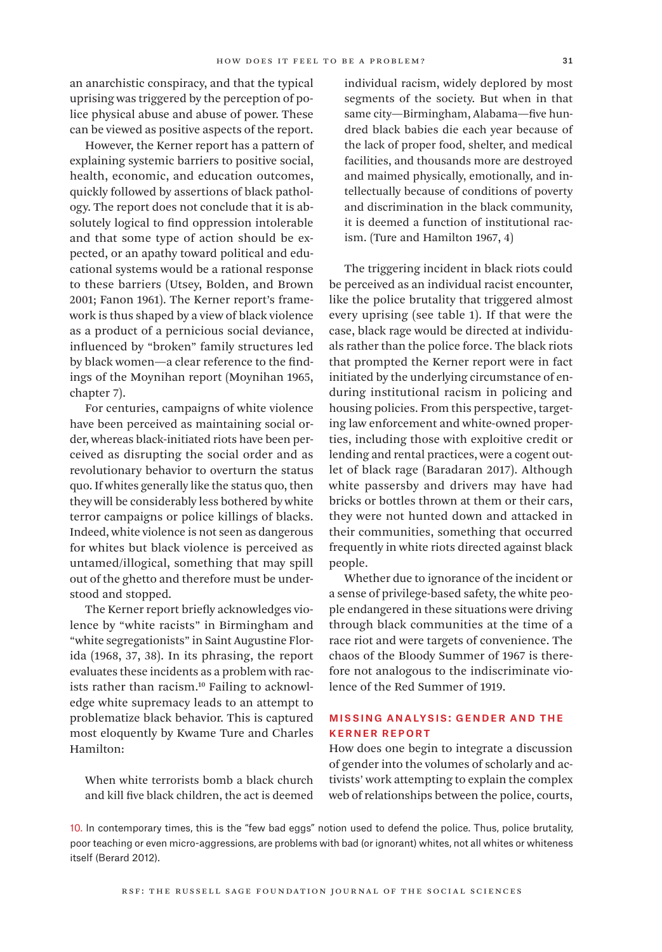an anarchistic conspiracy, and that the typical uprising was triggered by the perception of police physical abuse and abuse of power. These can be viewed as positive aspects of the report.

However, the Kerner report has a pattern of explaining systemic barriers to positive social, health, economic, and education outcomes, quickly followed by assertions of black pathology. The report does not conclude that it is absolutely logical to find oppression intolerable and that some type of action should be expected, or an apathy toward political and educational systems would be a rational response to these barriers (Utsey, Bolden, and Brown 2001; Fanon 1961). The Kerner report's framework is thus shaped by a view of black violence as a product of a pernicious social deviance, influenced by "broken" family structures led by black women—a clear reference to the findings of the Moynihan report (Moynihan 1965, chapter 7).

For centuries, campaigns of white violence have been perceived as maintaining social order, whereas black-initiated riots have been perceived as disrupting the social order and as revolutionary behavior to overturn the status quo. If whites generally like the status quo, then they will be considerably less bothered by white terror campaigns or police killings of blacks. Indeed, white violence is not seen as dangerous for whites but black violence is perceived as untamed/illogical, something that may spill out of the ghetto and therefore must be understood and stopped.

The Kerner report briefly acknowledges violence by "white racists" in Birmingham and "white segregationists" in Saint Augustine Florida (1968, 37, 38). In its phrasing, the report evaluates these incidents as a problem with racists rather than racism.<sup>10</sup> Failing to acknowledge white supremacy leads to an attempt to problematize black behavior. This is captured most eloquently by Kwame Ture and Charles Hamilton:

When white terrorists bomb a black church and kill five black children, the act is deemed individual racism, widely deplored by most segments of the society. But when in that same city—Birmingham, Alabama—five hundred black babies die each year because of the lack of proper food, shelter, and medical facilities, and thousands more are destroyed and maimed physically, emotionally, and intellectually because of conditions of poverty and discrimination in the black community, it is deemed a function of institutional racism. (Ture and Hamilton 1967, 4)

The triggering incident in black riots could be perceived as an individual racist encounter, like the police brutality that triggered almost every uprising (see table 1). If that were the case, black rage would be directed at individuals rather than the police force. The black riots that prompted the Kerner report were in fact initiated by the underlying circumstance of enduring institutional racism in policing and housing policies. From this perspective, targeting law enforcement and white-owned properties, including those with exploitive credit or lending and rental practices, were a cogent outlet of black rage (Baradaran 2017). Although white passersby and drivers may have had bricks or bottles thrown at them or their cars, they were not hunted down and attacked in their communities, something that occurred frequently in white riots directed against black people.

Whether due to ignorance of the incident or a sense of privilege-based safety, the white people endangered in these situations were driving through black communities at the time of a race riot and were targets of convenience. The chaos of the Bloody Summer of 1967 is therefore not analogous to the indiscriminate violence of the Red Summer of 1919.

## Missing Analysis: Gender and the Kerner Report

How does one begin to integrate a discussion of gender into the volumes of scholarly and activists' work attempting to explain the complex web of relationships between the police, courts,

10. In contemporary times, this is the "few bad eggs" notion used to defend the police. Thus, police brutality, poor teaching or even micro-aggressions, are problems with bad (or ignorant) whites, not all whites or whiteness itself (Berard 2012).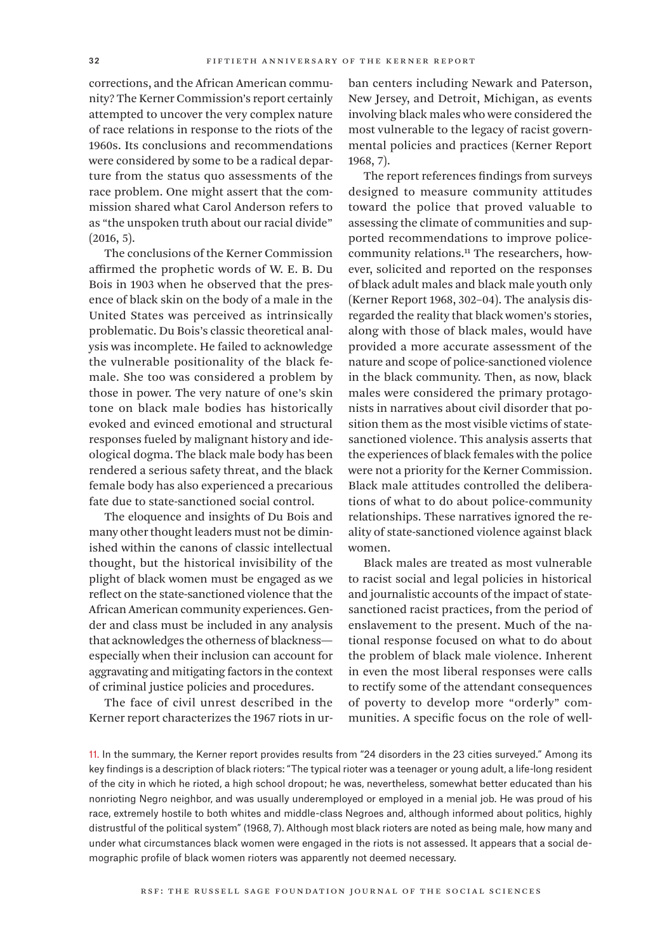corrections, and the African American community? The Kerner Commission's report certainly attempted to uncover the very complex nature of race relations in response to the riots of the 1960s. Its conclusions and recommendations were considered by some to be a radical departure from the status quo assessments of the race problem. One might assert that the commission shared what Carol Anderson refers to as "the unspoken truth about our racial divide"  $(2016, 5)$ .

The conclusions of the Kerner Commission affirmed the prophetic words of W. E. B. Du Bois in 1903 when he observed that the presence of black skin on the body of a male in the United States was perceived as intrinsically problematic. Du Bois's classic theoretical analysis was incomplete. He failed to acknowledge the vulnerable positionality of the black female. She too was considered a problem by those in power. The very nature of one's skin tone on black male bodies has historically evoked and evinced emotional and structural responses fueled by malignant history and ideological dogma. The black male body has been rendered a serious safety threat, and the black female body has also experienced a precarious fate due to state-sanctioned social control.

The eloquence and insights of Du Bois and many other thought leaders must not be diminished within the canons of classic intellectual thought, but the historical invisibility of the plight of black women must be engaged as we reflect on the state-sanctioned violence that the African American community experiences. Gender and class must be included in any analysis that acknowledges the otherness of blackness especially when their inclusion can account for aggravating and mitigating factors in the context of criminal justice policies and procedures.

The face of civil unrest described in the Kerner report characterizes the 1967 riots in urban centers including Newark and Paterson, New Jersey, and Detroit, Michigan, as events involving black males who were considered the most vulnerable to the legacy of racist governmental policies and practices (Kerner Report 1968, 7).

The report references findings from surveys designed to measure community attitudes toward the police that proved valuable to assessing the climate of communities and supported recommendations to improve policecommunity relations.<sup>11</sup> The researchers, however, solicited and reported on the responses of black adult males and black male youth only (Kerner Report 1968, 302–04). The analysis disregarded the reality that black women's stories, along with those of black males, would have provided a more accurate assessment of the nature and scope of police-sanctioned violence in the black community. Then, as now, black males were considered the primary protagonists in narratives about civil disorder that position them as the most visible victims of statesanctioned violence. This analysis asserts that the experiences of black females with the police were not a priority for the Kerner Commission. Black male attitudes controlled the deliberations of what to do about police-community relationships. These narratives ignored the reality of state-sanctioned violence against black women.

Black males are treated as most vulnerable to racist social and legal policies in historical and journalistic accounts of the impact of statesanctioned racist practices, from the period of enslavement to the present. Much of the national response focused on what to do about the problem of black male violence. Inherent in even the most liberal responses were calls to rectify some of the attendant consequences of poverty to develop more "orderly" communities. A specific focus on the role of well-

11. In the summary, the Kerner report provides results from "24 disorders in the 23 cities surveyed." Among its key findings is a description of black rioters: "The typical rioter was a teenager or young adult, a life-long resident of the city in which he rioted, a high school dropout; he was, nevertheless, somewhat better educated than his nonrioting Negro neighbor, and was usually underemployed or employed in a menial job. He was proud of his race, extremely hostile to both whites and middle-class Negroes and, although informed about politics, highly distrustful of the political system" (1968, 7). Although most black rioters are noted as being male, how many and under what circumstances black women were engaged in the riots is not assessed. It appears that a social demographic profile of black women rioters was apparently not deemed necessary.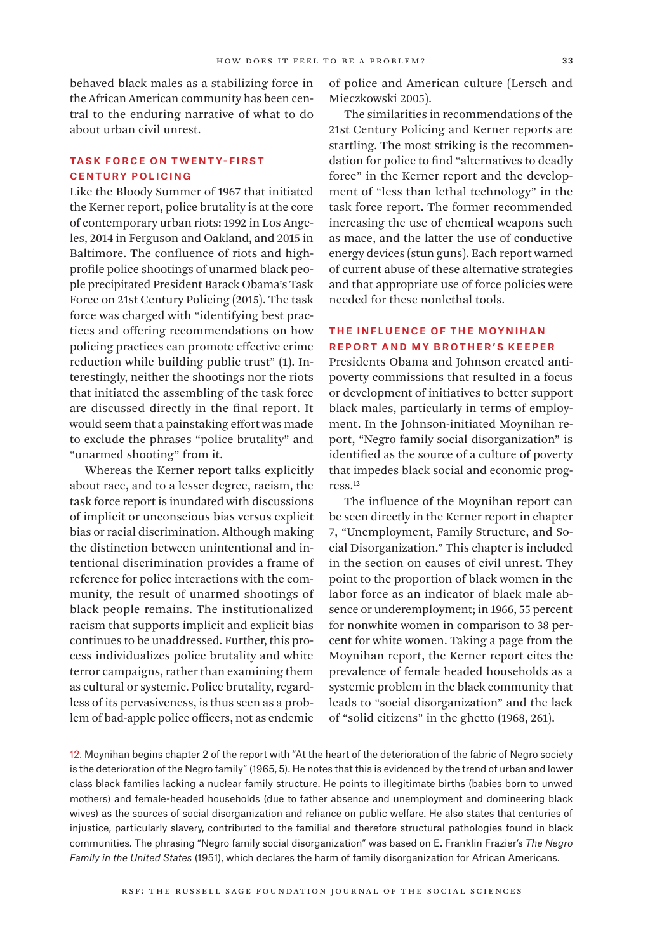behaved black males as a stabilizing force in the African American community has been central to the enduring narrative of what to do about urban civil unrest.

## Task Force on Twenty-First Century Policing

Like the Bloody Summer of 1967 that initiated the Kerner report, police brutality is at the core of contemporary urban riots: 1992 in Los Angeles, 2014 in Ferguson and Oakland, and 2015 in Baltimore. The confluence of riots and highprofile police shootings of unarmed black people precipitated President Barack Obama's Task Force on 21st Century Policing (2015). The task force was charged with "identifying best practices and offering recommendations on how policing practices can promote effective crime reduction while building public trust" (1). Interestingly, neither the shootings nor the riots that initiated the assembling of the task force are discussed directly in the final report. It would seem that a painstaking effort was made to exclude the phrases "police brutality" and "unarmed shooting" from it.

Whereas the Kerner report talks explicitly about race, and to a lesser degree, racism, the task force report is inundated with discussions of implicit or unconscious bias versus explicit bias or racial discrimination. Although making the distinction between unintentional and intentional discrimination provides a frame of reference for police interactions with the community, the result of unarmed shootings of black people remains. The institutionalized racism that supports implicit and explicit bias continues to be unaddressed. Further, this process individualizes police brutality and white terror campaigns, rather than examining them as cultural or systemic. Police brutality, regardless of its pervasiveness, is thus seen as a problem of bad-apple police officers, not as endemic

of police and American culture (Lersch and Mieczkowski 2005).

The similarities in recommendations of the 21st Century Policing and Kerner reports are startling. The most striking is the recommendation for police to find "alternatives to deadly force" in the Kerner report and the development of "less than lethal technology" in the task force report. The former recommended increasing the use of chemical weapons such as mace, and the latter the use of conductive energy devices (stun guns). Each report warned of current abuse of these alternative strategies and that appropriate use of force policies were needed for these nonlethal tools.

## The Influence of the Moynihan Report and My Brother's Keeper

Presidents Obama and Johnson created antipoverty commissions that resulted in a focus or development of initiatives to better support black males, particularly in terms of employment. In the Johnson-initiated Moynihan report, "Negro family social disorganization" is identified as the source of a culture of poverty that impedes black social and economic progress.12

The influence of the Moynihan report can be seen directly in the Kerner report in chapter 7, "Unemployment, Family Structure, and Social Disorganization." This chapter is included in the section on causes of civil unrest. They point to the proportion of black women in the labor force as an indicator of black male absence or underemployment; in 1966, 55 percent for nonwhite women in comparison to 38 percent for white women. Taking a page from the Moynihan report, the Kerner report cites the prevalence of female headed households as a systemic problem in the black community that leads to "social disorganization" and the lack of "solid citizens" in the ghetto (1968, 261).

12. Moynihan begins chapter 2 of the report with "At the heart of the deterioration of the fabric of Negro society is the deterioration of the Negro family" (1965, 5). He notes that this is evidenced by the trend of urban and lower class black families lacking a nuclear family structure. He points to illegitimate births (babies born to unwed mothers) and female-headed households (due to father absence and unemployment and domineering black wives) as the sources of social disorganization and reliance on public welfare. He also states that centuries of injustice, particularly slavery, contributed to the familial and therefore structural pathologies found in black communities. The phrasing "Negro family social disorganization" was based on E. Franklin Frazier's *The Negro Family in the United States* (1951), which declares the harm of family disorganization for African Americans.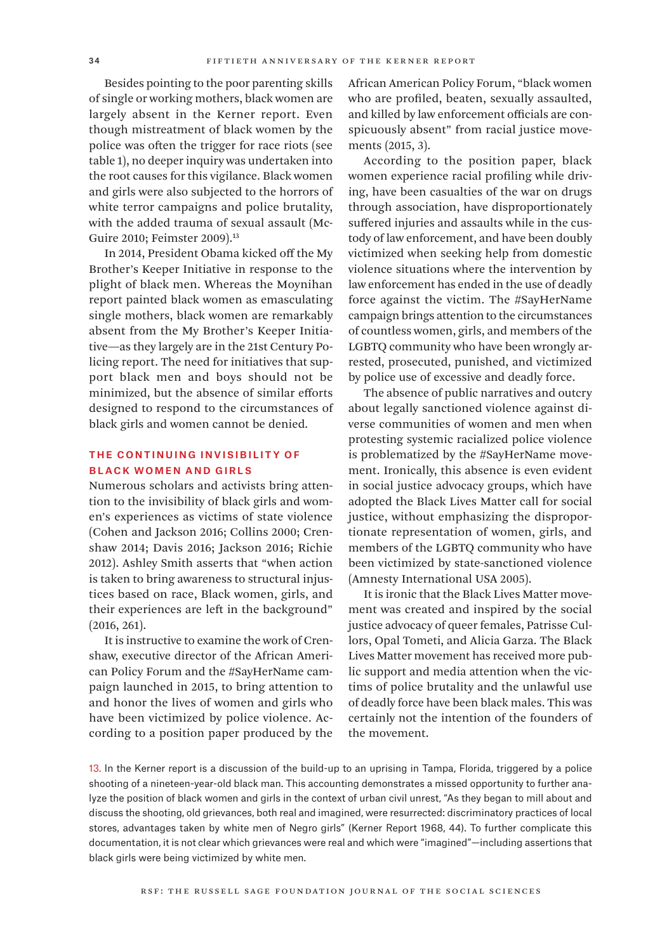Besides pointing to the poor parenting skills of single or working mothers, black women are largely absent in the Kerner report. Even though mistreatment of black women by the police was often the trigger for race riots (see table 1), no deeper inquiry was undertaken into the root causes for this vigilance. Black women and girls were also subjected to the horrors of white terror campaigns and police brutality, with the added trauma of sexual assault (Mc-Guire 2010; Feimster 2009).<sup>13</sup>

In 2014, President Obama kicked off the My Brother's Keeper Initiative in response to the plight of black men. Whereas the Moynihan report painted black women as emasculating single mothers, black women are remarkably absent from the My Brother's Keeper Initiative—as they largely are in the 21st Century Policing report. The need for initiatives that support black men and boys should not be minimized, but the absence of similar efforts designed to respond to the circumstances of black girls and women cannot be denied.

## The Continuing Invisibility of Black Women and Girls

Numerous scholars and activists bring attention to the invisibility of black girls and women's experiences as victims of state violence (Cohen and Jackson 2016; Collins 2000; Crenshaw 2014; Davis 2016; Jackson 2016; Richie 2012). Ashley Smith asserts that "when action is taken to bring awareness to structural injustices based on race, Black women, girls, and their experiences are left in the background" (2016, 261).

It is instructive to examine the work of Crenshaw, executive director of the African American Policy Forum and the #SayHerName campaign launched in 2015, to bring attention to and honor the lives of women and girls who have been victimized by police violence. According to a position paper produced by the

African American Policy Forum, "black women who are profiled, beaten, sexually assaulted, and killed by law enforcement officials are conspicuously absent" from racial justice movements (2015, 3).

According to the position paper, black women experience racial profiling while driving, have been casualties of the war on drugs through association, have disproportionately suffered injuries and assaults while in the custody of law enforcement, and have been doubly victimized when seeking help from domestic violence situations where the intervention by law enforcement has ended in the use of deadly force against the victim. The #SayHerName campaign brings attention to the circumstances of countless women, girls, and members of the LGBTQ community who have been wrongly arrested, prosecuted, punished, and victimized by police use of excessive and deadly force.

The absence of public narratives and outcry about legally sanctioned violence against diverse communities of women and men when protesting systemic racialized police violence is problematized by the #SayHerName movement. Ironically, this absence is even evident in social justice advocacy groups, which have adopted the Black Lives Matter call for social justice, without emphasizing the disproportionate representation of women, girls, and members of the LGBTQ community who have been victimized by state-sanctioned violence (Amnesty International USA 2005).

It is ironic that the Black Lives Matter movement was created and inspired by the social justice advocacy of queer females, Patrisse Cullors, Opal Tometi, and Alicia Garza. The Black Lives Matter movement has received more public support and media attention when the victims of police brutality and the unlawful use of deadly force have been black males. This was certainly not the intention of the founders of the movement.

13. In the Kerner report is a discussion of the build-up to an uprising in Tampa, Florida, triggered by a police shooting of a nineteen-year-old black man. This accounting demonstrates a missed opportunity to further analyze the position of black women and girls in the context of urban civil unrest, "As they began to mill about and discuss the shooting, old grievances, both real and imagined, were resurrected: discriminatory practices of local stores, advantages taken by white men of Negro girls" (Kerner Report 1968, 44). To further complicate this documentation, it is not clear which grievances were real and which were "imagined"—including assertions that black girls were being victimized by white men.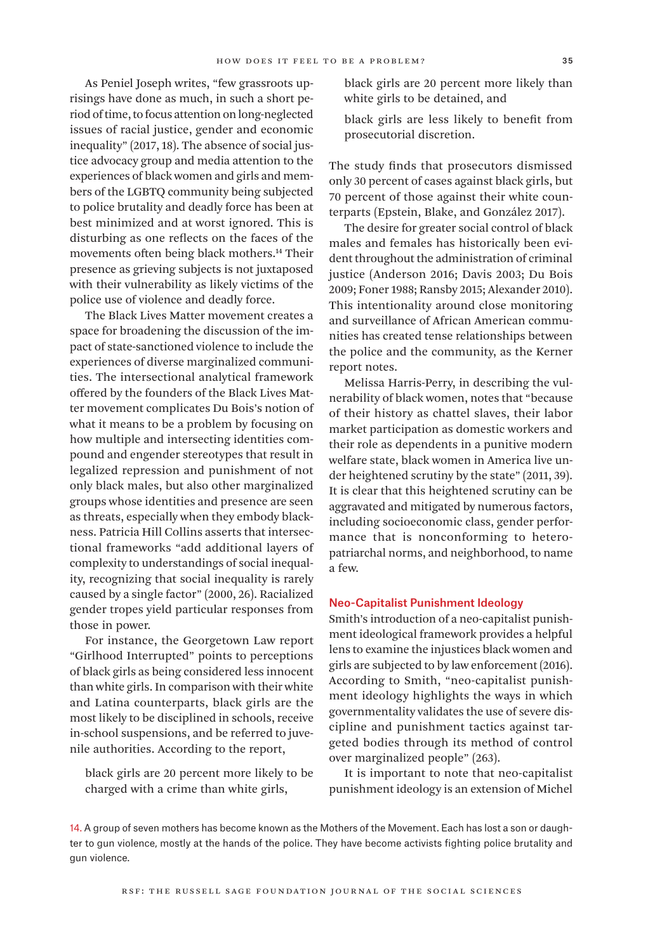As Peniel Joseph writes, "few grassroots uprisings have done as much, in such a short period of time, to focus attention on long-neglected issues of racial justice, gender and economic inequality" (2017, 18). The absence of social justice advocacy group and media attention to the experiences of black women and girls and members of the LGBTQ community being subjected to police brutality and deadly force has been at best minimized and at worst ignored. This is disturbing as one reflects on the faces of the movements often being black mothers.14 Their presence as grieving subjects is not juxtaposed with their vulnerability as likely victims of the police use of violence and deadly force.

The Black Lives Matter movement creates a space for broadening the discussion of the impact of state-sanctioned violence to include the experiences of diverse marginalized communities. The intersectional analytical framework offered by the founders of the Black Lives Matter movement complicates Du Bois's notion of what it means to be a problem by focusing on how multiple and intersecting identities compound and engender stereotypes that result in legalized repression and punishment of not only black males, but also other marginalized groups whose identities and presence are seen as threats, especially when they embody blackness. Patricia Hill Collins asserts that intersectional frameworks "add additional layers of complexity to understandings of social inequality, recognizing that social inequality is rarely caused by a single factor" (2000, 26). Racialized gender tropes yield particular responses from those in power.

For instance, the Georgetown Law report "Girlhood Interrupted" points to perceptions of black girls as being considered less innocent than white girls. In comparison with their white and Latina counterparts, black girls are the most likely to be disciplined in schools, receive in-school suspensions, and be referred to juvenile authorities. According to the report,

black girls are 20 percent more likely to be charged with a crime than white girls,

black girls are 20 percent more likely than white girls to be detained, and

black girls are less likely to benefit from prosecutorial discretion.

The study finds that prosecutors dismissed only 30 percent of cases against black girls, but 70 percent of those against their white counterparts (Epstein, Blake, and González 2017).

The desire for greater social control of black males and females has historically been evident throughout the administration of criminal justice (Anderson 2016; Davis 2003; Du Bois 2009; Foner 1988; Ransby 2015; Alexander 2010). This intentionality around close monitoring and surveillance of African American communities has created tense relationships between the police and the community, as the Kerner report notes.

Melissa Harris-Perry, in describing the vulnerability of black women, notes that "because of their history as chattel slaves, their labor market participation as domestic workers and their role as dependents in a punitive modern welfare state, black women in America live under heightened scrutiny by the state" (2011, 39). It is clear that this heightened scrutiny can be aggravated and mitigated by numerous factors, including socioeconomic class, gender performance that is nonconforming to heteropatriarchal norms, and neighborhood, to name a few.

#### Neo-Capitalist Punishment Ideology

Smith's introduction of a neo-capitalist punishment ideological framework provides a helpful lens to examine the injustices black women and girls are subjected to by law enforcement (2016). According to Smith, "neo-capitalist punishment ideology highlights the ways in which governmentality validates the use of severe discipline and punishment tactics against targeted bodies through its method of control over marginalized people" (263).

It is important to note that neo-capitalist punishment ideology is an extension of Michel

14. A group of seven mothers has become known as the Mothers of the Movement. Each has lost a son or daughter to gun violence, mostly at the hands of the police. They have become activists fighting police brutality and gun violence.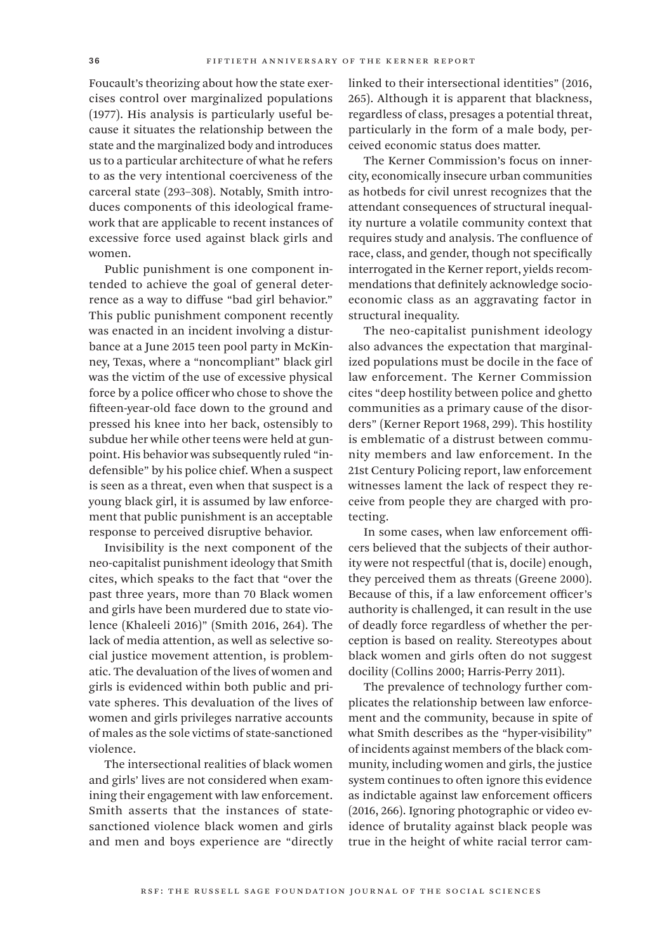Foucault's theorizing about how the state exercises control over marginalized populations (1977). His analysis is particularly useful because it situates the relationship between the state and the marginalized body and introduces us to a particular architecture of what he refers to as the very intentional coerciveness of the carceral state (293–308). Notably, Smith introduces components of this ideological framework that are applicable to recent instances of excessive force used against black girls and women.

Public punishment is one component intended to achieve the goal of general deterrence as a way to diffuse "bad girl behavior." This public punishment component recently was enacted in an incident involving a disturbance at a June 2015 teen pool party in McKinney, Texas, where a "noncompliant" black girl was the victim of the use of excessive physical force by a police officer who chose to shove the fifteen-year-old face down to the ground and pressed his knee into her back, ostensibly to subdue her while other teens were held at gunpoint. His behavior was subsequently ruled "indefensible" by his police chief. When a suspect is seen as a threat, even when that suspect is a young black girl, it is assumed by law enforcement that public punishment is an acceptable response to perceived disruptive behavior.

Invisibility is the next component of the neo-capitalist punishment ideology that Smith cites, which speaks to the fact that "over the past three years, more than 70 Black women and girls have been murdered due to state violence (Khaleeli 2016)" (Smith 2016, 264). The lack of media attention, as well as selective social justice movement attention, is problematic. The devaluation of the lives of women and girls is evidenced within both public and private spheres. This devaluation of the lives of women and girls privileges narrative accounts of males as the sole victims of state-sanctioned violence.

The intersectional realities of black women and girls' lives are not considered when examining their engagement with law enforcement. Smith asserts that the instances of statesanctioned violence black women and girls and men and boys experience are "directly linked to their intersectional identities" (2016, 265). Although it is apparent that blackness, regardless of class, presages a potential threat, particularly in the form of a male body, perceived economic status does matter.

The Kerner Commission's focus on innercity, economically insecure urban communities as hotbeds for civil unrest recognizes that the attendant consequences of structural inequality nurture a volatile community context that requires study and analysis. The confluence of race, class, and gender, though not specifically interrogated in the Kerner report, yields recommendations that definitely acknowledge socioeconomic class as an aggravating factor in structural inequality.

The neo-capitalist punishment ideology also advances the expectation that marginalized populations must be docile in the face of law enforcement. The Kerner Commission cites "deep hostility between police and ghetto communities as a primary cause of the disorders" (Kerner Report 1968, 299). This hostility is emblematic of a distrust between community members and law enforcement. In the 21st Century Policing report, law enforcement witnesses lament the lack of respect they receive from people they are charged with protecting.

In some cases, when law enforcement officers believed that the subjects of their authority were not respectful (that is, docile) enough, they perceived them as threats (Greene 2000). Because of this, if a law enforcement officer's authority is challenged, it can result in the use of deadly force regardless of whether the perception is based on reality. Stereotypes about black women and girls often do not suggest docility (Collins 2000; Harris-Perry 2011).

The prevalence of technology further complicates the relationship between law enforcement and the community, because in spite of what Smith describes as the "hyper-visibility" of incidents against members of the black community, including women and girls, the justice system continues to often ignore this evidence as indictable against law enforcement officers (2016, 266). Ignoring photographic or video evidence of brutality against black people was true in the height of white racial terror cam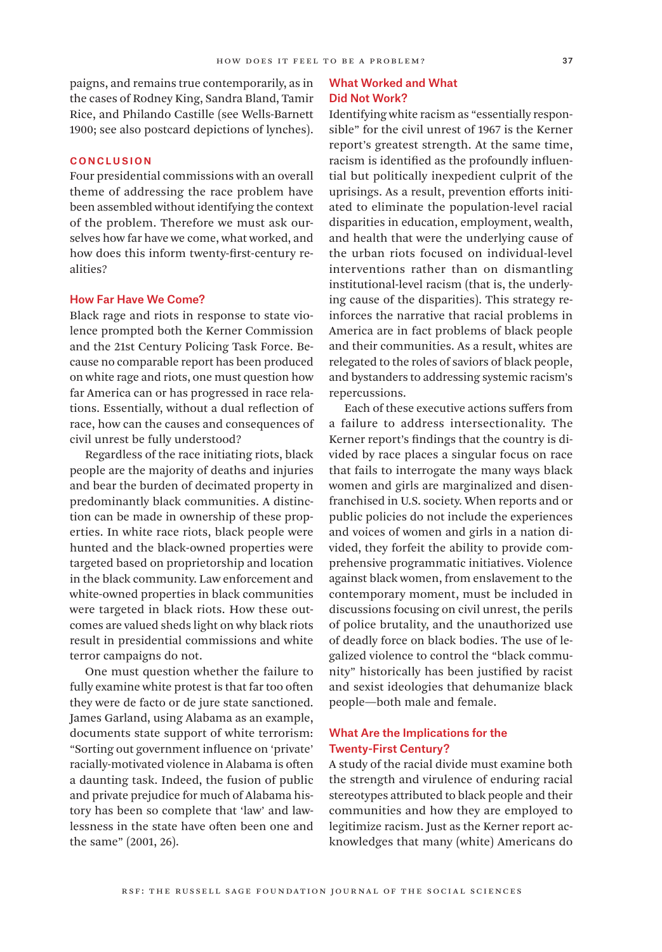paigns, and remains true contemporarily, as in the cases of Rodney King, Sandra Bland, Tamir Rice, and Philando Castille (see Wells-Barnett 1900; see also postcard depictions of lynches).

#### **CONCLUSION**

Four presidential commissions with an overall theme of addressing the race problem have been assembled without identifying the context of the problem. Therefore we must ask ourselves how far have we come, what worked, and how does this inform twenty-first-century realities?

#### How Far Have We Come?

Black rage and riots in response to state violence prompted both the Kerner Commission and the 21st Century Policing Task Force. Because no comparable report has been produced on white rage and riots, one must question how far America can or has progressed in race relations. Essentially, without a dual reflection of race, how can the causes and consequences of civil unrest be fully understood?

Regardless of the race initiating riots, black people are the majority of deaths and injuries and bear the burden of decimated property in predominantly black communities. A distinction can be made in ownership of these properties. In white race riots, black people were hunted and the black-owned properties were targeted based on proprietorship and location in the black community. Law enforcement and white-owned properties in black communities were targeted in black riots. How these outcomes are valued sheds light on why black riots result in presidential commissions and white terror campaigns do not.

One must question whether the failure to fully examine white protest is that far too often they were de facto or de jure state sanctioned. James Garland, using Alabama as an example, documents state support of white terrorism: "Sorting out government influence on 'private' racially-motivated violence in Alabama is often a daunting task. Indeed, the fusion of public and private prejudice for much of Alabama history has been so complete that 'law' and lawlessness in the state have often been one and the same" (2001, 26).

### What Worked and What Did Not Work?

Identifying white racism as "essentially responsible" for the civil unrest of 1967 is the Kerner report's greatest strength. At the same time, racism is identified as the profoundly influential but politically inexpedient culprit of the uprisings. As a result, prevention efforts initiated to eliminate the population-level racial disparities in education, employment, wealth, and health that were the underlying cause of the urban riots focused on individual-level interventions rather than on dismantling institutional-level racism (that is, the underlying cause of the disparities). This strategy reinforces the narrative that racial problems in America are in fact problems of black people and their communities. As a result, whites are relegated to the roles of saviors of black people, and bystanders to addressing systemic racism's repercussions.

Each of these executive actions suffers from a failure to address intersectionality. The Kerner report's findings that the country is divided by race places a singular focus on race that fails to interrogate the many ways black women and girls are marginalized and disenfranchised in U.S. society. When reports and or public policies do not include the experiences and voices of women and girls in a nation divided, they forfeit the ability to provide comprehensive programmatic initiatives. Violence against black women, from enslavement to the contemporary moment, must be included in discussions focusing on civil unrest, the perils of police brutality, and the unauthorized use of deadly force on black bodies. The use of legalized violence to control the "black community" historically has been justified by racist and sexist ideologies that dehumanize black people—both male and female.

## What Are the Implications for the Twenty-First Century?

A study of the racial divide must examine both the strength and virulence of enduring racial stereotypes attributed to black people and their communities and how they are employed to legitimize racism. Just as the Kerner report acknowledges that many (white) Americans do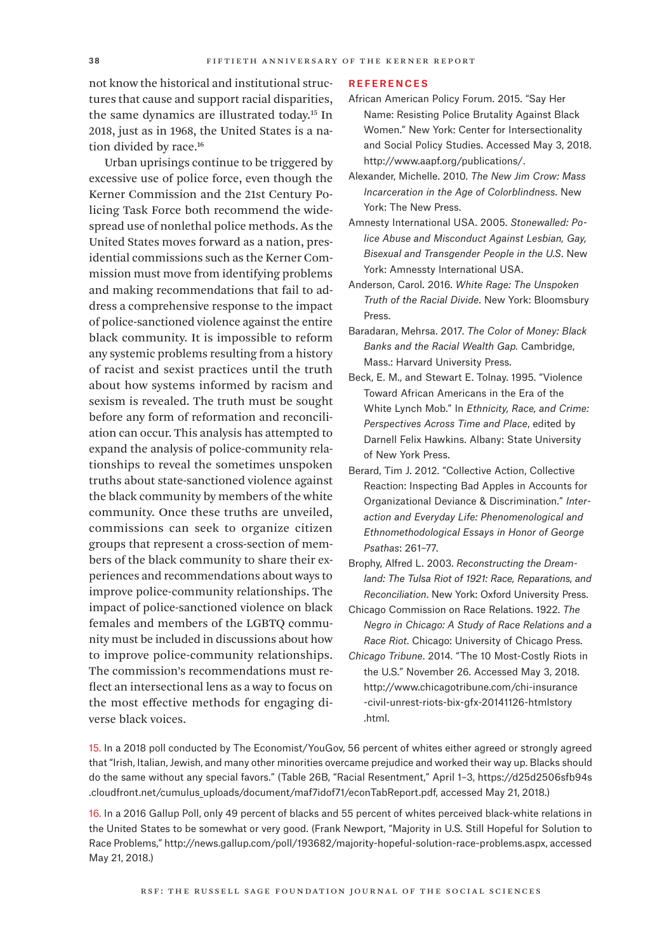not know the historical and institutional structures that cause and support racial disparities, the same dynamics are illustrated today.15 In 2018, just as in 1968, the United States is a nation divided by race.<sup>16</sup>

Urban uprisings continue to be triggered by excessive use of police force, even though the Kerner Commission and the 21st Century Policing Task Force both recommend the widespread use of nonlethal police methods. As the United States moves forward as a nation, presidential commissions such as the Kerner Commission must move from identifying problems and making recommendations that fail to address a comprehensive response to the impact of police-sanctioned violence against the entire black community. It is impossible to reform any systemic problems resulting from a history of racist and sexist practices until the truth about how systems informed by racism and sexism is revealed. The truth must be sought before any form of reformation and reconciliation can occur. This analysis has attempted to expand the analysis of police-community relationships to reveal the sometimes unspoken truths about state-sanctioned violence against the black community by members of the white community. Once these truths are unveiled, commissions can seek to organize citizen groups that represent a cross-section of members of the black community to share their experiences and recommendations about ways to improve police-community relationships. The impact of police-sanctioned violence on black females and members of the LGBTQ community must be included in discussions about how to improve police-community relationships. The commission's recommendations must reflect an intersectional lens as a way to focus on the most effective methods for engaging diverse black voices.

#### **REFERENCES**

- African American Policy Forum. 2015. "Say Her Name: Resisting Police Brutality Against Black Women." New York: Center for Intersectionality and Social Policy Studies. Accessed May 3, 2018. [http://www.aapf.org/publications/.](http://www.aapf.org/publications/)
- Alexander, Michelle. 2010. *The New Jim Crow: Mass Incarceration in the Age of Colorblindness*. New York: The New Press.
- Amnesty International USA. 2005. *Stonewalled: Police Abuse and Misconduct Against Lesbian, Gay, Bisexual and Transgender People in the U.S*. New York: Amnessty International USA.
- Anderson, Carol. 2016. *White Rage: The Unspoken Truth of the Racial Divide*. New York: Bloomsbury Press.
- Baradaran, Mehrsa. 2017. *The Color of Money: Black Banks and the Racial Wealth Gap.* Cambridge, Mass.: Harvard University Press.
- Beck, E. M., and Stewart E. Tolnay. 1995. "Violence Toward African Americans in the Era of the White Lynch Mob." In *Ethnicity, Race, and Crime: Perspectives Across Time and Place*, edited by Darnell Felix Hawkins. Albany: State University of New York Press.
- Berard, Tim J. 2012. "Collective Action, Collective Reaction: Inspecting Bad Apples in Accounts for Organizational Deviance & Discrimination." *Interaction and Everyday Life: Phenomenological and Ethnomethodological Essays in Honor of George Psathas*: 261–77.
- Brophy, Alfred L. 2003. *Reconstructing the Dreamland: The Tulsa Riot of 1921: Race, Reparations, and Reconciliation*. New York: Oxford University Press.
- Chicago Commission on Race Relations. 1922. *The Negro in Chicago: A Study of Race Relations and a Race Riot*. Chicago: University of Chicago Press.
- *Chicago Tribune*. 2014. "The 10 Most-Costly Riots in the U.S." November 26. Accessed May 3, 2018. [http://www.chicagotribune.com/chi-insurance](http://www.chicagotribune.com/chi-insurance-civil-unrest-riots-bix-gfx-20141126-htmlstory.html)  [-civil-unrest-riots-bix-gfx-20141126-htmlstory](http://www.chicagotribune.com/chi-insurance-civil-unrest-riots-bix-gfx-20141126-htmlstory.html)  [.html.](http://www.chicagotribune.com/chi-insurance-civil-unrest-riots-bix-gfx-20141126-htmlstory.html)

15. In a 2018 poll conducted by The Economist/YouGov, 56 percent of whites either agreed or strongly agreed that "Irish, Italian, Jewish, and many other minorities overcame prejudice and worked their way up. Blacks should do the same without any special favors." (Table 26B, "Racial Resentment," April 1–3, [https://d25d2506sfb94s](https://d25d2506sfb94s.cloudfront.net/cumulus_uploads/document/maf7idof71/econTabReport.pdf) [.cloudfront.net/cumulus\\_uploads/document/maf7idof71/econTabReport.pdf,](https://d25d2506sfb94s.cloudfront.net/cumulus_uploads/document/maf7idof71/econTabReport.pdf) accessed May 21, 2018.)

16. In a 2016 Gallup Poll, only 49 percent of blacks and 55 percent of whites perceived black-white relations in the United States to be somewhat or very good. (Frank Newport, "Majority in U.S. Still Hopeful for Solution to Race Problems," [http://news.gallup.com/poll/193682/majority-hopeful-solution-race-problems.aspx,](http://news.gallup.com/poll/193682/majority-hopeful-solution-race-problems.aspx) accessed May 21, 2018.)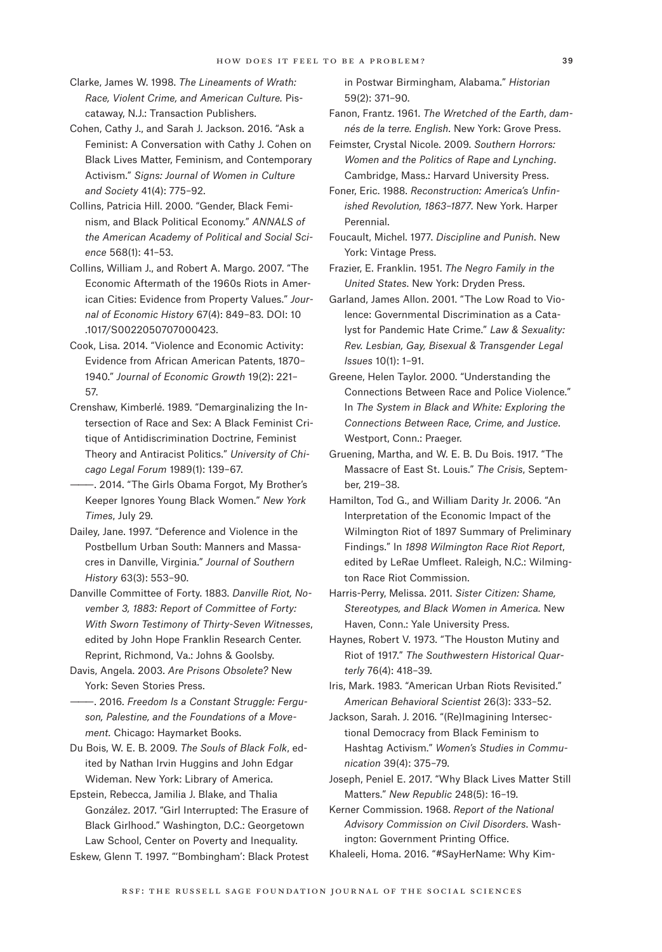- Clarke, James W. 1998. *The Lineaments of Wrath: Race, Violent Crime, and American Culture.* Piscataway, N.J.: Transaction Publishers.
- Cohen, Cathy J., and Sarah J. Jackson. 2016. "Ask a Feminist: A Conversation with Cathy J. Cohen on Black Lives Matter, Feminism, and Contemporary Activism." *Signs: Journal of Women in Culture and Society* 41(4): 775–92.
- Collins, Patricia Hill. 2000. "Gender, Black Feminism, and Black Political Economy." *ANNALS of the American Academy of Political and Social Science* 568(1): 41–53.
- Collins, William J., and Robert A. Margo. 2007. "The Economic Aftermath of the 1960s Riots in American Cities: Evidence from Property Values." *Journal of Economic History* 67(4): 849–83. DOI: 10 .1017/S0022050707000423.
- Cook, Lisa. 2014. "Violence and Economic Activity: Evidence from African American Patents, 1870– 1940." *Journal of Economic Growth* 19(2): 221– 57.
- Crenshaw, Kimberlé. 1989. "Demarginalizing the Intersection of Race and Sex: A Black Feminist Critique of Antidiscrimination Doctrine, Feminist Theory and Antiracist Politics." *University of Chicago Legal Forum* 1989(1): 139–67.
- -. 2014. "The Girls Obama Forgot, My Brother's Keeper Ignores Young Black Women." *New York Times*, July 29.
- Dailey, Jane. 1997. "Deference and Violence in the Postbellum Urban South: Manners and Massacres in Danville, Virginia." *Journal of Southern History* 63(3): 553–90.
- Danville Committee of Forty. 1883. *Danville Riot, November 3, 1883: Report of Committee of Forty: With Sworn Testimony of Thirty-Seven Witnesses*, edited by John Hope Franklin Research Center. Reprint, Richmond, Va.: Johns & Goolsby.
- Davis, Angela. 2003. *Are Prisons Obsolete?* New York: Seven Stories Press.
- $-$ . 2016. *Freedom Is a Constant Struggle: Ferguson, Palestine, and the Foundations of a Movement.* Chicago: Haymarket Books.
- Du Bois, W. E. B. 2009. *The Souls of Black Folk*, edited by Nathan Irvin Huggins and John Edgar Wideman. New York: Library of America.
- Epstein, Rebecca, Jamilia J. Blake, and Thalia González. 2017. "Girl Interrupted: The Erasure of Black Girlhood." Washington, D.C.: Georgetown Law School, Center on Poverty and Inequality.

Eskew, Glenn T. 1997. "'Bombingham': Black Protest

in Postwar Birmingham, Alabama." *Historian* 59(2): 371–90.

- Fanon, Frantz. 1961. *The Wretched of the Earth*, *damnés de la terre. English*. New York: Grove Press.
- Feimster, Crystal Nicole. 2009. *Southern Horrors: Women and the Politics of Rape and Lynching*. Cambridge, Mass.: Harvard University Press.
- Foner, Eric. 1988. *Reconstruction: America's Unfinished Revolution, 1863–1877*. New York. Harper Perennial.
- Foucault, Michel. 1977. *Discipline and Punish*. New York: Vintage Press.
- Frazier, E. Franklin. 1951. *The Negro Family in the United States*. New York: Dryden Press.
- Garland, James Allon. 2001. "The Low Road to Violence: Governmental Discrimination as a Catalyst for Pandemic Hate Crime." *Law & Sexuality: Rev. Lesbian, Gay, Bisexual & Transgender Legal Issues* 10(1): 1–91.
- Greene, Helen Taylor. 2000. "Understanding the Connections Between Race and Police Violence." In *The System in Black and White: Exploring the Connections Between Race, Crime, and Justice*. Westport, Conn.: Praeger.
- Gruening, Martha, and W. E. B. Du Bois. 1917. "The Massacre of East St. Louis." *The Crisis*, September, 219–38.
- Hamilton, Tod G., and William Darity Jr. 2006. "An Interpretation of the Economic Impact of the Wilmington Riot of 1897 Summary of Preliminary Findings." In *1898 Wilmington Race Riot Report*, edited by LeRae Umfleet. Raleigh, N.C.: Wilmington Race Riot Commission.
- Harris-Perry, Melissa. 2011. *Sister Citizen: Shame, Stereotypes, and Black Women in America.* New Haven, Conn.: Yale University Press.
- Haynes, Robert V. 1973. "The Houston Mutiny and Riot of 1917." *The Southwestern Historical Quarterly* 76(4): 418–39.
- Iris, Mark. 1983. "American Urban Riots Revisited." *American Behavioral Scientist* 26(3): 333–52.
- Jackson, Sarah. J. 2016. "(Re)Imagining Intersectional Democracy from Black Feminism to Hashtag Activism." *Women's Studies in Communication* 39(4): 375–79.
- Joseph, Peniel E. 2017. "Why Black Lives Matter Still Matters." *New Republic* 248(5): 16–19.
- Kerner Commission. 1968. *Report of the National Advisory Commission on Civil Disorders*. Washington: Government Printing Office.
- Khaleeli, Homa. 2016. "#SayHerName: Why Kim-